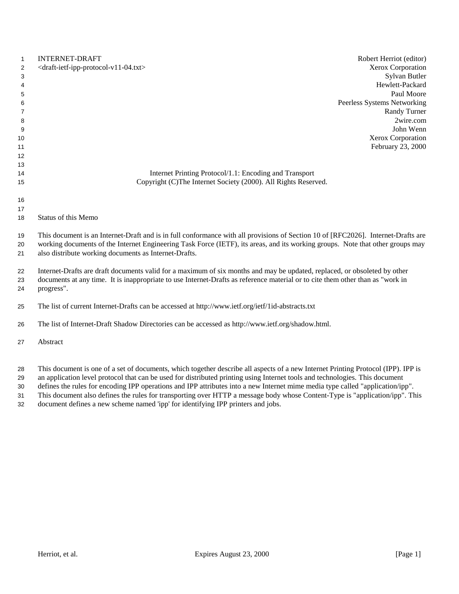| $\mathbf{1}$ | <b>INTERNET-DRAFT</b><br>Robert Herriot (editor)                                                                                  |  |
|--------------|-----------------------------------------------------------------------------------------------------------------------------------|--|
| 2            | Xerox Corporation<br><draft-ietf-ipp-protocol-v11-04.txt></draft-ietf-ipp-protocol-v11-04.txt>                                    |  |
| 3            | Sylvan Butler                                                                                                                     |  |
| 4            | Hewlett-Packard                                                                                                                   |  |
| 5            | Paul Moore                                                                                                                        |  |
| 6            | Peerless Systems Networking                                                                                                       |  |
| 7            | <b>Randy Turner</b>                                                                                                               |  |
| 8            | 2wire.com                                                                                                                         |  |
| 9            | John Wenn                                                                                                                         |  |
| 10           | Xerox Corporation                                                                                                                 |  |
| 11           | February 23, 2000                                                                                                                 |  |
| 12           |                                                                                                                                   |  |
| 13           |                                                                                                                                   |  |
| 14           | Internet Printing Protocol/1.1: Encoding and Transport                                                                            |  |
| 15           | Copyright (C)The Internet Society (2000). All Rights Reserved.                                                                    |  |
|              |                                                                                                                                   |  |
| 16           |                                                                                                                                   |  |
| 17           |                                                                                                                                   |  |
| 18           | Status of this Memo                                                                                                               |  |
| 19           | This document is an Internet-Draft and is in full conformance with all provisions of Section 10 of [RFC2026]. Internet-Drafts are |  |
| 20           | working documents of the Internet Engineering Task Force (IETF), its areas, and its working groups. Note that other groups may    |  |
| 21           | also distribute working documents as Internet-Drafts.                                                                             |  |
|              |                                                                                                                                   |  |
| 22           | Internet-Drafts are draft documents valid for a maximum of six months and may be updated, replaced, or obsoleted by other         |  |
| 23           | documents at any time. It is inappropriate to use Internet-Drafts as reference material or to cite them other than as "work in    |  |
| 24           | progress".                                                                                                                        |  |
|              |                                                                                                                                   |  |
| 25           | The list of current Internet-Drafts can be accessed at http://www.ietf.org/ietf/1id-abstracts.txt                                 |  |
|              |                                                                                                                                   |  |
| 26           | The list of Internet-Draft Shadow Directories can be accessed as http://www.ietf.org/shadow.html.                                 |  |
| 27           | Abstract                                                                                                                          |  |
|              |                                                                                                                                   |  |
|              |                                                                                                                                   |  |
|              |                                                                                                                                   |  |

- This document is one of a set of documents, which together describe all aspects of a new Internet Printing Protocol (IPP). IPP is
- an application level protocol that can be used for distributed printing using Internet tools and technologies. This document
- defines the rules for encoding IPP operations and IPP attributes into a new Internet mime media type called "application/ipp". This document also defines the rules for transporting over HTTP a message body whose Content-Type is "application/ipp". This
- 
- document defines a new scheme named 'ipp' for identifying IPP printers and jobs.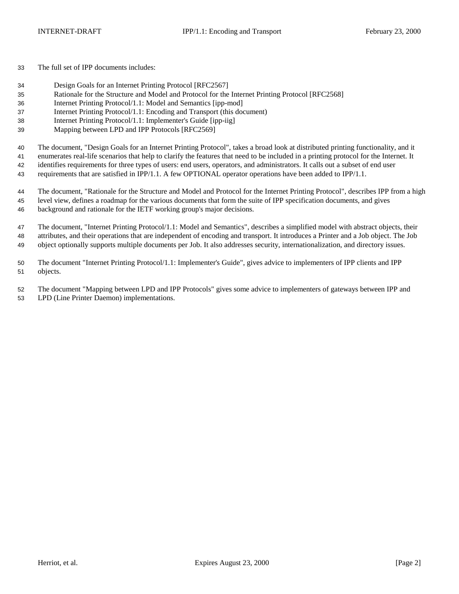The full set of IPP documents includes:

- Design Goals for an Internet Printing Protocol [RFC2567]
- Rationale for the Structure and Model and Protocol for the Internet Printing Protocol [RFC2568]
- Internet Printing Protocol/1.1: Model and Semantics [ipp-mod]
- Internet Printing Protocol/1.1: Encoding and Transport (this document)
- Internet Printing Protocol/1.1: Implementer's Guide [ipp-iig]
- Mapping between LPD and IPP Protocols [RFC2569]

The document, "Design Goals for an Internet Printing Protocol", takes a broad look at distributed printing functionality, and it

enumerates real-life scenarios that help to clarify the features that need to be included in a printing protocol for the Internet. It

identifies requirements for three types of users: end users, operators, and administrators. It calls out a subset of end user

requirements that are satisfied in IPP/1.1. A few OPTIONAL operator operations have been added to IPP/1.1.

 The document, "Rationale for the Structure and Model and Protocol for the Internet Printing Protocol", describes IPP from a high level view, defines a roadmap for the various documents that form the suite of IPP specification documents, and gives background and rationale for the IETF working group's major decisions.

 The document, "Internet Printing Protocol/1.1: Model and Semantics", describes a simplified model with abstract objects, their attributes, and their operations that are independent of encoding and transport. It introduces a Printer and a Job object. The Job object optionally supports multiple documents per Job. It also addresses security, internationalization, and directory issues.

 The document "Internet Printing Protocol/1.1: Implementer's Guide", gives advice to implementers of IPP clients and IPP objects.

 The document "Mapping between LPD and IPP Protocols" gives some advice to implementers of gateways between IPP and LPD (Line Printer Daemon) implementations.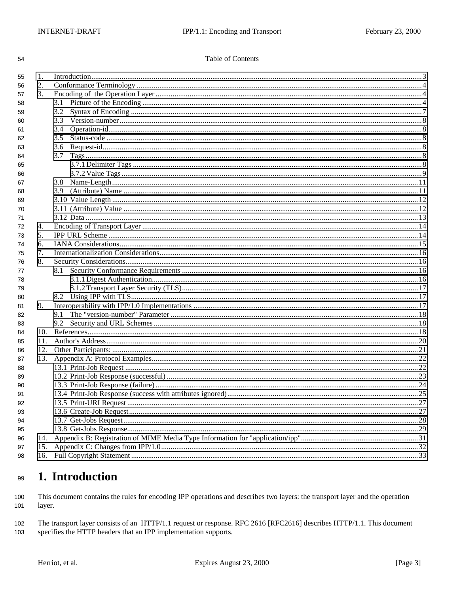54

## **Table of Contents**

| 55 | 1.  |     |  |  |
|----|-----|-----|--|--|
| 56 | 2.  |     |  |  |
| 57 | 3.  |     |  |  |
| 58 |     | 3.1 |  |  |
| 59 |     | 3.2 |  |  |
| 60 |     |     |  |  |
| 61 |     |     |  |  |
| 62 |     | 3.5 |  |  |
| 63 |     | 3.6 |  |  |
| 64 |     | 3.7 |  |  |
| 65 |     |     |  |  |
| 66 |     |     |  |  |
| 67 |     |     |  |  |
| 68 |     |     |  |  |
| 69 |     |     |  |  |
| 70 |     |     |  |  |
| 71 |     |     |  |  |
| 72 | 4.  |     |  |  |
| 73 | 5.  |     |  |  |
| 74 | 6.  |     |  |  |
| 75 | 7.  |     |  |  |
| 76 | 8.  |     |  |  |
| 77 |     |     |  |  |
| 78 |     |     |  |  |
| 79 |     |     |  |  |
| 80 |     | 8.2 |  |  |
| 81 | 9.  |     |  |  |
| 82 |     | 9.1 |  |  |
| 83 |     |     |  |  |
| 84 | 10. |     |  |  |
| 85 | 11. |     |  |  |
| 86 | 12. |     |  |  |
| 87 | 13. |     |  |  |
| 88 |     |     |  |  |
| 89 |     |     |  |  |
| 90 |     |     |  |  |
| 91 |     |     |  |  |
| 92 |     |     |  |  |
| 93 |     |     |  |  |
| 94 |     |     |  |  |
| 95 |     |     |  |  |
| 96 | 14. |     |  |  |
| 97 | 15. |     |  |  |
| 98 | 16. |     |  |  |
|    |     |     |  |  |

### 1. Introduction 99

This document contains the rules for encoding IPP operations and describes two layers: the transport layer and the operation 100 101 layer.

102 The transport layer consists of an HTTP/1.1 request or response. RFC 2616 [RFC2616] describes HTTP/1.1. This document specifies the HTTP headers that an IPP implementation supports. 103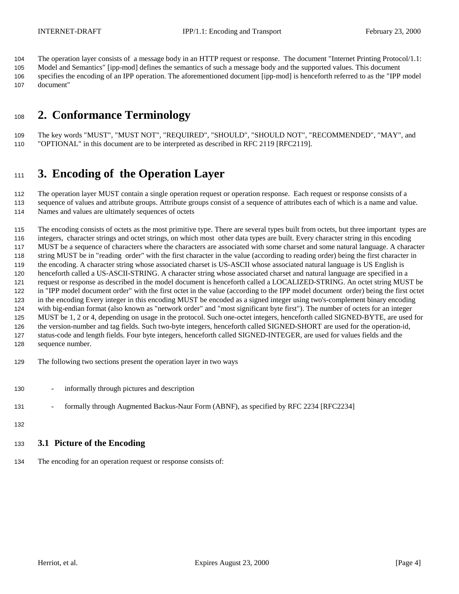<span id="page-3-0"></span>The operation layer consists of a message body in an HTTP request or response. The document "Internet Printing Protocol/1.1:

 Model and Semantics" [ipp-mod] defines the semantics of such a message body and the supported values. This document specifies the encoding of an IPP operation. The aforementioned document [ipp-mod] is henceforth referred to as the "IPP model document"

# **2. Conformance Terminology**

 The key words "MUST", "MUST NOT", "REQUIRED", "SHOULD", "SHOULD NOT", "RECOMMENDED", "MAY", and "OPTIONAL" in this document are to be interpreted as described in RFC 2119 [RFC2119].

# **3. Encoding of the Operation Layer**

 The operation layer MUST contain a single operation request or operation response. Each request or response consists of a sequence of values and attribute groups. Attribute groups consist of a sequence of attributes each of which is a name and value.

Names and values are ultimately sequences of octets

 The encoding consists of octets as the most primitive type. There are several types built from octets, but three important types are integers, character strings and octet strings, on which most other data types are built. Every character string in this encoding MUST be a sequence of characters where the characters are associated with some charset and some natural language. A character string MUST be in "reading order" with the first character in the value (according to reading order) being the first character in the encoding. A character string whose associated charset is US-ASCII whose associated natural language is US English is henceforth called a US-ASCII-STRING. A character string whose associated charset and natural language are specified in a request or response as described in the model document is henceforth called a LOCALIZED-STRING. An octet string MUST be in "IPP model document order" with the first octet in the value (according to the IPP model document order) being the first octet in the encoding Every integer in this encoding MUST be encoded as a signed integer using two's-complement binary encoding with big-endian format (also known as "network order" and "most significant byte first"). The number of octets for an integer MUST be 1, 2 or 4, depending on usage in the protocol. Such one-octet integers, henceforth called SIGNED-BYTE, are used for the version-number and tag fields. Such two-byte integers, henceforth called SIGNED-SHORT are used for the operation-id, status-code and length fields. Four byte integers, henceforth called SIGNED-INTEGER, are used for values fields and the sequence number.

- The following two sections present the operation layer in two ways
- informally through pictures and description
- 131 formally through Augmented Backus-Naur Form (ABNF), as specified by RFC 2234 [RFC2234]
- 

## **3.1 Picture of the Encoding**

The encoding for an operation request or response consists of: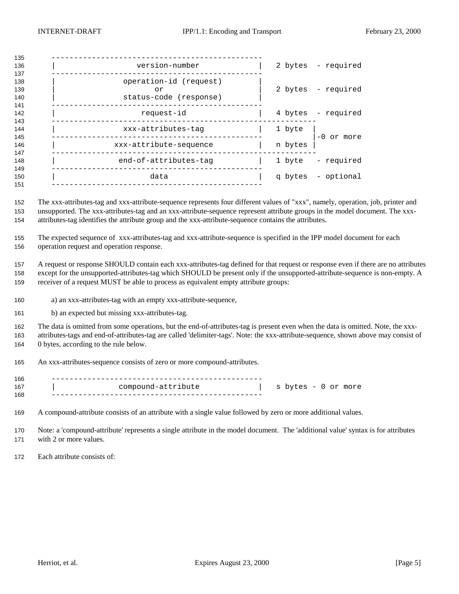| version-number                                         |         | 2 bytes - required |
|--------------------------------------------------------|---------|--------------------|
| operation-id (request)<br>or<br>status-code (response) |         | 2 bytes - required |
| request-id                                             |         | 4 bytes - required |
| xxx-attributes-tag                                     | 1 byte  | $-0$ or more       |
| xxx-attribute-sequence                                 | n bytes |                    |
| end-of-attributes-tag                                  | 1 byte  | - required         |
| data                                                   |         | q bytes - optional |
|                                                        |         |                    |

 The xxx-attributes-tag and xxx-attribute-sequence represents four different values of "xxx", namely, operation, job, printer and unsupported. The xxx-attributes-tag and an xxx-attribute-sequence represent attribute groups in the model document. The xxx-attributes-tag identifies the attribute group and the xxx-attribute-sequence contains the attributes.

 The expected sequence of xxx-attributes-tag and xxx-attribute-sequence is specified in the IPP model document for each operation request and operation response.

 A request or response SHOULD contain each xxx-attributes-tag defined for that request or response even if there are no attributes except for the unsupported-attributes-tag which SHOULD be present only if the unsupported-attribute-sequence is non-empty. A receiver of a request MUST be able to process as equivalent empty attribute groups:

- a) an xxx-attributes-tag with an empty xxx-attribute-sequence,
- b) an expected but missing xxx-attributes-tag.

 The data is omitted from some operations, but the end-of-attributes-tag is present even when the data is omitted. Note, the xxx- attributes-tags and end-of-attributes-tag are called 'delimiter-tags'. Note: the xxx-attribute-sequence, shown above may consist of 0 bytes, according to the rule below.

An xxx-attributes-sequence consists of zero or more compound-attributes.

| 166 |                    |                     |
|-----|--------------------|---------------------|
| 167 | compound-attribute | s bytes - 0 or more |
| 168 |                    |                     |

A compound-attribute consists of an attribute with a single value followed by zero or more additional values.

 Note: a 'compound-attribute' represents a single attribute in the model document. The 'additional value' syntax is for attributes with 2 or more values.

Each attribute consists of: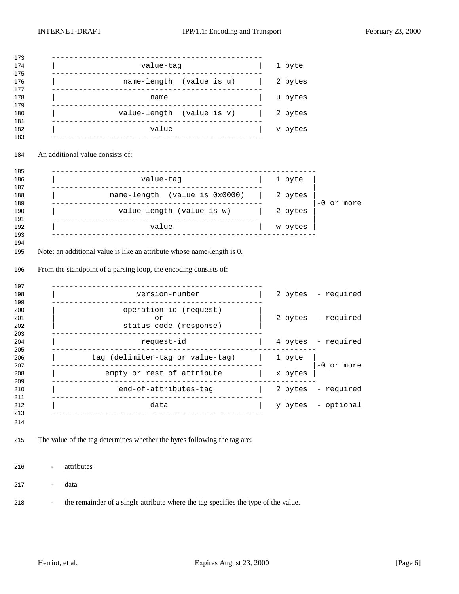| value-tag                                                                                                                                          |  | 1 byte  |                    |
|----------------------------------------------------------------------------------------------------------------------------------------------------|--|---------|--------------------|
| name-length (value is u)                                                                                                                           |  | 2 bytes |                    |
| name                                                                                                                                               |  | u bytes |                    |
| value-length (value is v)                                                                                                                          |  | 2 bytes |                    |
| value                                                                                                                                              |  | v bytes |                    |
| An additional value consists of:                                                                                                                   |  |         |                    |
| __________________________________<br>value-tag                                                                                                    |  | 1 byte  |                    |
| name-length (value is 0x0000)                                                                                                                      |  | 2 bytes |                    |
|                                                                                                                                                    |  | 2 bytes | -0 or more         |
| value-length (value is w)                                                                                                                          |  |         |                    |
| value                                                                                                                                              |  | w bytes |                    |
| version-number                                                                                                                                     |  |         | 2 bytes - required |
| operation-id (request)<br>or<br>status-code (response)                                                                                             |  |         | 2 bytes - required |
| request-id                                                                                                                                         |  |         | 4 bytes - required |
| tag (delimiter-tag or value-tag)                                                                                                                   |  | 1 byte  |                    |
| empty or rest of attribute                                                                                                                         |  | x bytes | $-0$ or more       |
| _____________________<br>end-of-attributes-tag                                                                                                     |  | 2 bytes | - required         |
| Note: an additional value is like an attribute whose name-length is 0.<br>From the standpoint of a parsing loop, the encoding consists of:<br>data |  |         | y bytes - optional |

- the remainder of a single attribute where the tag specifies the type of the value.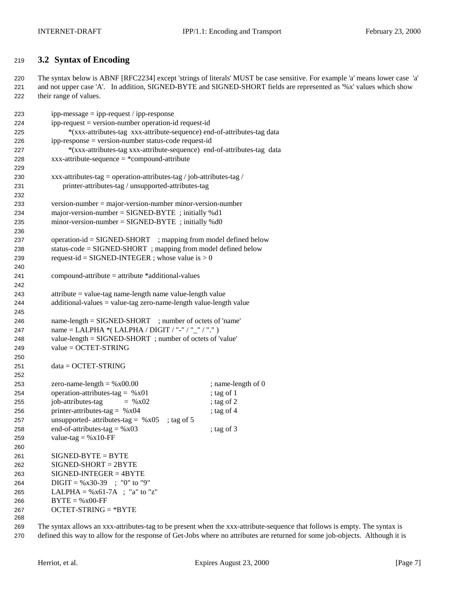## <span id="page-6-0"></span>**3.2 Syntax of Encoding**

 The syntax below is ABNF [RFC2234] except 'strings of literals' MUST be case sensitive. For example 'a' means lower case 'a' and not upper case 'A'. In addition, SIGNED-BYTE and SIGNED-SHORT fields are represented as '%x' values which show their range of values.

| 223 | $ipp-message = ipp-request / ipp-response$                              |                    |  |
|-----|-------------------------------------------------------------------------|--------------------|--|
| 224 | ipp-request = version-number operation-id request-id                    |                    |  |
| 225 | *(xxx-attributes-tag xxx-attribute-sequence) end-of-attributes-tag data |                    |  |
| 226 | ipp-response = version-number status-code request-id                    |                    |  |
| 227 | *(xxx-attributes-tag xxx-attribute-sequence) end-of-attributes-tag data |                    |  |
| 228 | $xxxx$ -attribute-sequence = *compound-attribute                        |                    |  |
| 229 |                                                                         |                    |  |
| 230 | xxx-attributes-tag = operation-attributes-tag / job-attributes-tag /    |                    |  |
| 231 | printer-attributes-tag / unsupported-attributes-tag                     |                    |  |
| 232 |                                                                         |                    |  |
| 233 | $version-number = majorversion-number minor-version-number$             |                    |  |
| 234 | major-version-number = $SIGNED-BYTE$ ; initially %d1                    |                    |  |
| 235 | $minor-version-number = SIGNED-BYTE$ ; initially %d0                    |                    |  |
| 236 |                                                                         |                    |  |
| 237 | $operation-id = SIGNED-SHORT$ ; mapping from model defined below        |                    |  |
| 238 | status-code = SIGNED-SHORT; mapping from model defined below            |                    |  |
| 239 | request-id = SIGNED-INTEGER ; whose value is $> 0$                      |                    |  |
| 240 |                                                                         |                    |  |
| 241 | $compound-attribute = attribute * additional-values$                    |                    |  |
| 242 |                                                                         |                    |  |
| 243 | $attribute = value-tag name-length name value-length value$             |                    |  |
| 244 | $additional-values = value-tag zero-name-length value-length value$     |                    |  |
| 245 |                                                                         |                    |  |
| 246 | name-length = SIGNED-SHORT ; number of octets of 'name'                 |                    |  |
| 247 | name = LALPHA *(LALPHA / DIGIT / "-" / "_" / ".")                       |                    |  |
| 248 | value-length = SIGNED-SHORT; number of octets of 'value'                |                    |  |
| 249 | $value = OCTET-STRING$                                                  |                    |  |
| 250 |                                                                         |                    |  |
| 251 | $data = OCTET-STRING$                                                   |                    |  |
| 252 |                                                                         |                    |  |
| 253 | zero-name-length = $%x00.00$                                            | ; name-length of 0 |  |
| 254 | operation-attributes-tag = $%x01$                                       | ; tag of 1         |  |
| 255 | job-attributes-tag<br>$=$ % x02                                         | ; tag of $2$       |  |
| 256 | printer-attributes-tag = $%x04$                                         | ; tag of $4$       |  |
| 257 | unsupported- attributes-tag = $%x05$<br>; tag of $5$                    |                    |  |
| 258 | end-of-attributes-tag = $%x03$                                          | ; tag of $3$       |  |
| 259 | value-tag = $%x10$ -FF                                                  |                    |  |
| 260 |                                                                         |                    |  |
| 261 | $SIGNED-BYTE = BYTE$                                                    |                    |  |
| 262 | $SIGNED-SHORT = 2BYTE$                                                  |                    |  |
| 263 | $SIGNED-INTER = 4BYTE$                                                  |                    |  |
| 264 | $\text{Diff} = \% \times 30-39$ ; "0" to "9"                            |                    |  |
| 265 | LALPHA = $\%x61-7A$ ; "a" to "z"                                        |                    |  |
| 266 | $BYTE = %x00-FF$                                                        |                    |  |
| 267 | $OCTET-STRING = *BYTE$                                                  |                    |  |
| 268 |                                                                         |                    |  |
|     |                                                                         |                    |  |

 The syntax allows an xxx-attributes-tag to be present when the xxx-attribute-sequence that follows is empty. The syntax is defined this way to allow for the response of Get-Jobs where no attributes are returned for some job-objects. Although it is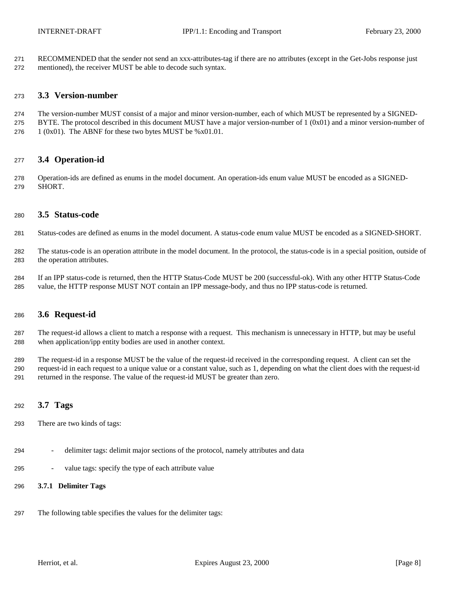<span id="page-7-0"></span> RECOMMENDED that the sender not send an xxx-attributes-tag if there are no attributes (except in the Get-Jobs response just mentioned), the receiver MUST be able to decode such syntax.

## **3.3 Version-number**

- The version-number MUST consist of a major and minor version-number, each of which MUST be represented by a SIGNED-BYTE. The protocol described in this document MUST have a major version-number of 1 (0x01) and a minor version-number of
- 276  $1 (0x01)$ . The ABNF for these two bytes MUST be %x01.01.

## **3.4 Operation-id**

 Operation-ids are defined as enums in the model document. An operation-ids enum value MUST be encoded as a SIGNED-SHORT.

## **3.5 Status-code**

- Status-codes are defined as enums in the model document. A status-code enum value MUST be encoded as a SIGNED-SHORT.
- The status-code is an operation attribute in the model document. In the protocol, the status-code is in a special position, outside of the operation attributes.
- If an IPP status-code is returned, then the HTTP Status-Code MUST be 200 (successful-ok). With any other HTTP Status-Code value, the HTTP response MUST NOT contain an IPP message-body, and thus no IPP status-code is returned.

## **3.6 Request-id**

- The request-id allows a client to match a response with a request. This mechanism is unnecessary in HTTP, but may be useful when application/ipp entity bodies are used in another context.
- The request-id in a response MUST be the value of the request-id received in the corresponding request. A client can set the request-id in each request to a unique value or a constant value, such as 1, depending on what the client does with the request-id returned in the response. The value of the request-id MUST be greater than zero.

## **3.7 Tags**

- There are two kinds of tags:
- delimiter tags: delimit major sections of the protocol, namely attributes and data
- value tags: specify the type of each attribute value

## **3.7.1 Delimiter Tags**

The following table specifies the values for the delimiter tags: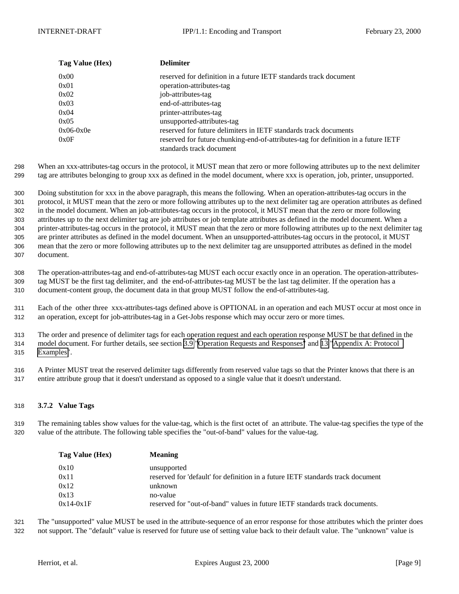<span id="page-8-0"></span>

| Tag Value (Hex) | <b>Delimiter</b>                                                                   |
|-----------------|------------------------------------------------------------------------------------|
| 0x00            | reserved for definition in a future IETF standards track document                  |
| 0x01            | operation-attributes-tag                                                           |
| 0x02            | job-attributes-tag                                                                 |
| 0x03            | end-of-attributes-tag                                                              |
| 0x04            | printer-attributes-tag                                                             |
| 0x05            | unsupported-attributes-tag                                                         |
| $0x06-0x0e$     | reserved for future delimiters in IETF standards track documents                   |
| 0x0F            | reserved for future chunking-end-of-attributes-tag for definition in a future IETF |
|                 | standards track document                                                           |

298 When an xxx-attributes-tag occurs in the protocol, it MUST mean that zero or more following attributes up to the next delimiter 299 tag are attributes belonging to group xxx as defined in the model document, where xxx is operation, job, printer, unsupported.

 Doing substitution for xxx in the above paragraph, this means the following. When an operation-attributes-tag occurs in the protocol, it MUST mean that the zero or more following attributes up to the next delimiter tag are operation attributes as defined in the model document. When an job-attributes-tag occurs in the protocol, it MUST mean that the zero or more following attributes up to the next delimiter tag are job attributes or job template attributes as defined in the model document. When a printer-attributes-tag occurs in the protocol, it MUST mean that the zero or more following attributes up to the next delimiter tag are printer attributes as defined in the model document. When an unsupported-attributes-tag occurs in the protocol, it MUST mean that the zero or more following attributes up to the next delimiter tag are unsupported attributes as defined in the model document.

308 The operation-attributes-tag and end-of-attributes-tag MUST each occur exactly once in an operation. The operation-attributes-309 tag MUST be the first tag delimiter, and the end-of-attributes-tag MUST be the last tag delimiter. If the operation has a 310 document-content group, the document data in that group MUST follow the end-of-attributes-tag.

311 Each of the other three xxx-attributes-tags defined above is OPTIONAL in an operation and each MUST occur at most once in 312 an operation, except for job-attributes-tag in a Get-Jobs response which may occur zero or more times.

313 The order and presence of delimiter tags for each operation request and each operation response MUST be that defined in the 314 model document. For further details, see section [3.9 "Operation Requests and Responses"](#page-10-0) and [13 "Appendix A: Protocol](#page-21-0) 315 [Examples"](#page-21-0).

316 A Printer MUST treat the reserved delimiter tags differently from reserved value tags so that the Printer knows that there is an 317 entire attribute group that it doesn't understand as opposed to a single value that it doesn't understand.

## 318 **3.7.2 Value Tags**

319 The remaining tables show values for the value-tag, which is the first octet of an attribute. The value-tag specifies the type of the 320 value of the attribute. The following table specifies the "out-of-band" values for the value-tag.

| Tag Value (Hex) | <b>Meaning</b>                                                                  |
|-----------------|---------------------------------------------------------------------------------|
| 0x10            | unsupported                                                                     |
| 0x11            | reserved for 'default' for definition in a future IETF standards track document |
| 0x12            | unknown                                                                         |
| 0x13            | no-value                                                                        |
| $0x14-0x1F$     | reserved for "out-of-band" values in future IETF standards track documents.     |

321 The "unsupported" value MUST be used in the attribute-sequence of an error response for those attributes which the printer does 322 not support. The "default" value is reserved for future use of setting value back to their default value. The "unknown" value is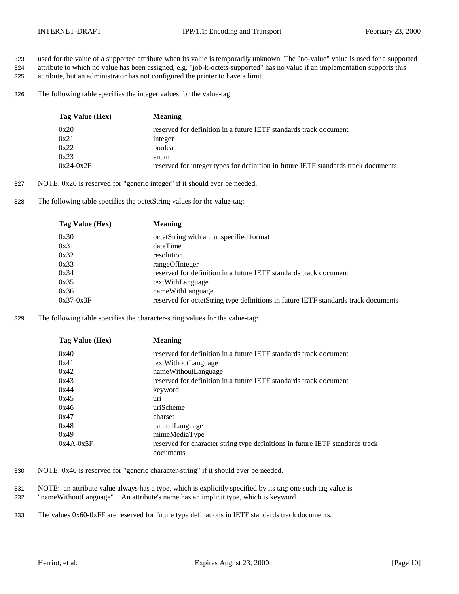- 323 used for the value of a supported attribute when its value is temporarily unknown. The "no-value" value is used for a supported 324 attribute to which no value has been assigned, e.g. "job-k-octets-supported" has no value if an implementation supports this 325 attribute, but an administrator has not configured the printer to have a limit.
- 326 The following table specifies the integer values for the value-tag:

| Tag Value (Hex) | <b>Meaning</b>                                                                     |
|-----------------|------------------------------------------------------------------------------------|
| 0x20            | reserved for definition in a future IETF standards track document                  |
| 0x21            | integer                                                                            |
| 0x22            | boolean                                                                            |
| 0x23            | enum                                                                               |
| $0x24-0x2F$     | reserved for integer types for definition in future IETF standards track documents |

- 327 NOTE: 0x20 is reserved for "generic integer" if it should ever be needed.
- 328 The following table specifies the octetString values for the value-tag:

| Tag Value (Hex) | <b>Meaning</b>                                                                     |
|-----------------|------------------------------------------------------------------------------------|
| 0x30            | octetString with an unspecified format                                             |
| 0x31            | dateTime                                                                           |
| 0x32            | resolution                                                                         |
| 0x33            | rangeOfInteger                                                                     |
| 0x34            | reserved for definition in a future IETF standards track document                  |
| 0x35            | textWithLanguage                                                                   |
| 0x36            | nameWithLanguage                                                                   |
| $0x37-0x3F$     | reserved for octetString type definitions in future IETF standards track documents |

329 The following table specifies the character-string values for the value-tag:

| Tag Value (Hex) | <b>Meaning</b>                                                                |
|-----------------|-------------------------------------------------------------------------------|
| 0x40            | reserved for definition in a future IETF standards track document             |
| 0x41            | textWithoutLanguage                                                           |
| 0x42            | nameWithoutLanguage                                                           |
| 0x43            | reserved for definition in a future IETF standards track document             |
| 0x44            | keyword                                                                       |
| 0x45            | uri                                                                           |
| 0x46            | uriScheme                                                                     |
| 0x47            | charset                                                                       |
| 0x48            | naturalLanguage                                                               |
| 0x49            | mimeMediaType                                                                 |
| $0x4A-0x5F$     | reserved for character string type definitions in future IETF standards track |
|                 | documents                                                                     |

- 330 NOTE: 0x40 is reserved for "generic character-string" if it should ever be needed.
- 331 NOTE: an attribute value always has a type, which is explicitly specified by its tag; one such tag value is 332 "nameWithoutLanguage". An attribute's name has an implicit type, which is keyword.
- 333 The values 0x60-0xFF are reserved for future type definations in IETF standards track documents.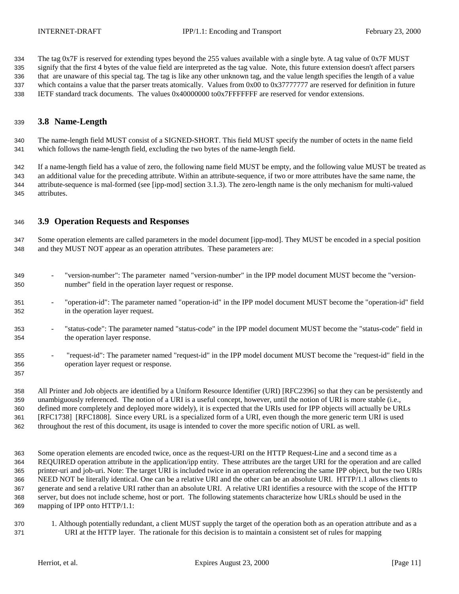<span id="page-10-0"></span> The tag 0x7F is reserved for extending types beyond the 255 values available with a single byte. A tag value of 0x7F MUST signify that the first 4 bytes of the value field are interpreted as the tag value. Note, this future extension doesn't affect parsers that are unaware of this special tag. The tag is like any other unknown tag, and the value length specifies the length of a value 337 which contains a value that the parser treats atomically. Values from 0x00 to 0x37777777 are reserved for definition in future IETF standard track documents. The values 0x40000000 to0x7FFFFFFF are reserved for vendor extensions.

## **3.8 Name-Length**

 The name-length field MUST consist of a SIGNED-SHORT. This field MUST specify the number of octets in the name field which follows the name-length field, excluding the two bytes of the name-length field.

 If a name-length field has a value of zero, the following name field MUST be empty, and the following value MUST be treated as an additional value for the preceding attribute. Within an attribute-sequence, if two or more attributes have the same name, the attribute-sequence is mal-formed (see [ipp-mod] section 3.1.3). The zero-length name is the only mechanism for multi-valued attributes.

## **3.9 Operation Requests and Responses**

 Some operation elements are called parameters in the model document [ipp-mod]. They MUST be encoded in a special position and they MUST NOT appear as an operation attributes. These parameters are:

- "version-number": The parameter named "version-number" in the IPP model document MUST become the "version-number" field in the operation layer request or response.
- "operation-id": The parameter named "operation-id" in the IPP model document MUST become the "operation-id" field in the operation layer request.
- "status-code": The parameter named "status-code" in the IPP model document MUST become the "status-code" field in the operation layer response.
- "request-id": The parameter named "request-id" in the IPP model document MUST become the "request-id" field in the operation layer request or response.

 All Printer and Job objects are identified by a Uniform Resource Identifier (URI) [RFC2396] so that they can be persistently and unambiguously referenced. The notion of a URI is a useful concept, however, until the notion of URI is more stable (i.e., defined more completely and deployed more widely), it is expected that the URIs used for IPP objects will actually be URLs [RFC1738] [RFC1808]. Since every URL is a specialized form of a URI, even though the more generic term URI is used throughout the rest of this document, its usage is intended to cover the more specific notion of URL as well.

 Some operation elements are encoded twice, once as the request-URI on the HTTP Request-Line and a second time as a REQUIRED operation attribute in the application/ipp entity. These attributes are the target URI for the operation and are called printer-uri and job-uri. Note: The target URI is included twice in an operation referencing the same IPP object, but the two URIs NEED NOT be literally identical. One can be a relative URI and the other can be an absolute URI. HTTP/1.1 allows clients to generate and send a relative URI rather than an absolute URI. A relative URI identifies a resource with the scope of the HTTP server, but does not include scheme, host or port. The following statements characterize how URLs should be used in the mapping of IPP onto HTTP/1.1:

 1. Although potentially redundant, a client MUST supply the target of the operation both as an operation attribute and as a URI at the HTTP layer. The rationale for this decision is to maintain a consistent set of rules for mapping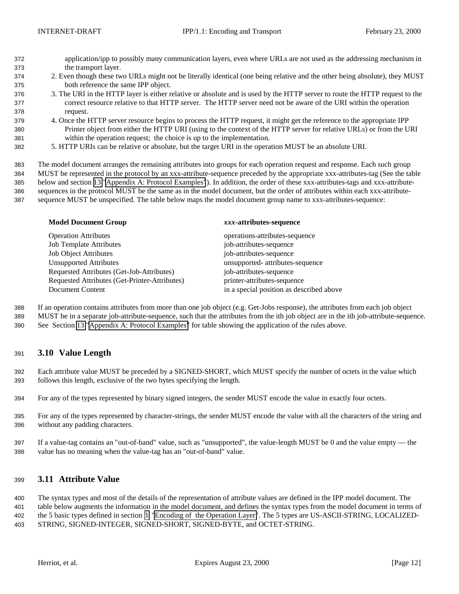- <span id="page-11-0"></span> application/ipp to possibly many communication layers, even where URLs are not used as the addressing mechanism in the transport layer.
- 2. Even though these two URLs might not be literally identical (one being relative and the other being absolute), they MUST both reference the same IPP object.
- 3. The URI in the HTTP layer is either relative or absolute and is used by the HTTP server to route the HTTP request to the correct resource relative to that HTTP server. The HTTP server need not be aware of the URI within the operation request.
- 4. Once the HTTP server resource begins to process the HTTP request, it might get the reference to the appropriate IPP Printer object from either the HTTP URI (using to the context of the HTTP server for relative URLs) or from the URI within the operation request; the choice is up to the implementation.
- 5. HTTP URIs can be relative or absolute, but the target URI in the operation MUST be an absolute URI.

 The model document arranges the remaining attributes into groups for each operation request and response. Each such group MUST be represented in the protocol by an xxx-attribute-sequence preceded by the appropriate xxx-attributes-tag (See the table below and section [13 "Appendix A: Protocol Examples"](#page-21-0)). In addition, the order of these xxx-attributes-tags and xxx-attribute- sequences in the protocol MUST be the same as in the model document, but the order of attributes within each xxx-attribute-sequence MUST be unspecified. The table below maps the model document group name to xxx-attributes-sequence:

| <b>Model Document Group</b>                   | xxx-attributes-sequence                  |
|-----------------------------------------------|------------------------------------------|
| <b>Operation Attributes</b>                   | operations-attributes-sequence           |
| <b>Job Template Attributes</b>                | job-attributes-sequence                  |
| <b>Job Object Attributes</b>                  | job-attributes-sequence                  |
| <b>Unsupported Attributes</b>                 | unsupported- attributes-sequence         |
| Requested Attributes (Get-Job-Attributes)     | job-attributes-sequence                  |
| Requested Attributes (Get-Printer-Attributes) | printer-attributes-sequence              |
| Document Content                              | in a special position as described above |

 If an operation contains attributes from more than one job object (e.g. Get-Jobs response), the attributes from each job object MUST be in a separate job-attribute-sequence, such that the attributes from the ith job object are in the ith job-attribute-sequence.

See Section [13](#page-21-0) "[Appendix A: Protocol Examples"](#page-21-0) for table showing the application of the rules above.

## **3.10 Value Length**

 Each attribute value MUST be preceded by a SIGNED-SHORT, which MUST specify the number of octets in the value which follows this length, exclusive of the two bytes specifying the length.

- For any of the types represented by binary signed integers, the sender MUST encode the value in exactly four octets.
- For any of the types represented by character-strings, the sender MUST encode the value with all the characters of the string and without any padding characters.
- If a value-tag contains an "out-of-band" value, such as "unsupported", the value-length MUST be 0 and the value empty the value has no meaning when the value-tag has an "out-of-band" value.

## **3.11 Attribute Value**

 The syntax types and most of the details of the representation of attribute values are defined in the IPP model document. The table below augments the information in the model document, and defines the syntax types from the model document in terms of the 5 basic types defined in section [3 "Encoding of the Operation Layer"](#page-3-0). The 5 types are US-ASCII-STRING, LOCALIZED-STRING, SIGNED-INTEGER, SIGNED-SHORT, SIGNED-BYTE, and OCTET-STRING.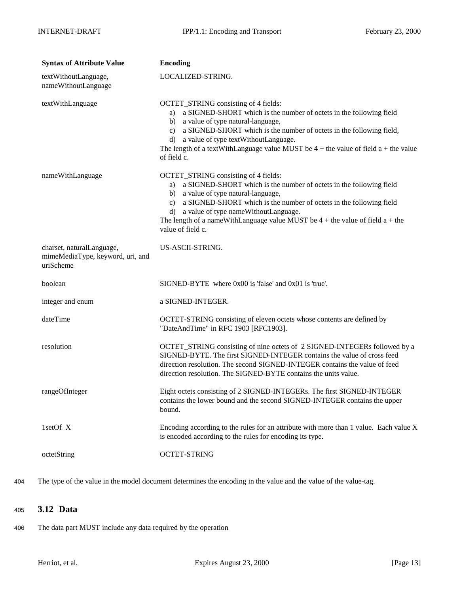<span id="page-12-0"></span>

| <b>Syntax of Attribute Value</b>                                           | <b>Encoding</b>                                                                                                                                                                                                                                                                                                                                                                                                  |
|----------------------------------------------------------------------------|------------------------------------------------------------------------------------------------------------------------------------------------------------------------------------------------------------------------------------------------------------------------------------------------------------------------------------------------------------------------------------------------------------------|
| textWithoutLanguage,<br>nameWithoutLanguage                                | LOCALIZED-STRING.                                                                                                                                                                                                                                                                                                                                                                                                |
| textWithLanguage                                                           | OCTET_STRING consisting of 4 fields:<br>a SIGNED-SHORT which is the number of octets in the following field<br>a)<br>a value of type natural-language,<br>b)<br>a SIGNED-SHORT which is the number of octets in the following field,<br>$\mathbf{c}$<br>d) a value of type textWithoutLanguage.<br>The length of a textWithLanguage value MUST be $4 +$ the value of field a + the value<br>of field c.          |
| nameWithLanguage                                                           | OCTET_STRING consisting of 4 fields:<br>a SIGNED-SHORT which is the number of octets in the following field<br>a)<br>a value of type natural-language,<br>b)<br>a SIGNED-SHORT which is the number of octets in the following field<br>$\mathbf{c}$<br>a value of type nameWithoutLanguage.<br>$\rm d$<br>The length of a nameWithLanguage value MUST be $4 +$ the value of field $a +$ the<br>value of field c. |
| charset, naturalLanguage,<br>mimeMediaType, keyword, uri, and<br>uriScheme | US-ASCII-STRING.                                                                                                                                                                                                                                                                                                                                                                                                 |
| boolean                                                                    | $SIGNED-BYTE$ where $0x00$ is 'false' and $0x01$ is 'true'.                                                                                                                                                                                                                                                                                                                                                      |
| integer and enum                                                           | a SIGNED-INTEGER.                                                                                                                                                                                                                                                                                                                                                                                                |
| dateTime                                                                   | OCTET-STRING consisting of eleven octets whose contents are defined by<br>"DateAndTime" in RFC 1903 [RFC1903].                                                                                                                                                                                                                                                                                                   |
| resolution                                                                 | OCTET_STRING consisting of nine octets of 2 SIGNED-INTEGERs followed by a<br>SIGNED-BYTE. The first SIGNED-INTEGER contains the value of cross feed<br>direction resolution. The second SIGNED-INTEGER contains the value of feed<br>direction resolution. The SIGNED-BYTE contains the units value.                                                                                                             |
| rangeOfInteger                                                             | Eight octets consisting of 2 SIGNED-INTEGERs. The first SIGNED-INTEGER<br>contains the lower bound and the second SIGNED-INTEGER contains the upper<br>bound.                                                                                                                                                                                                                                                    |
| 1setOf X                                                                   | Encoding according to the rules for an attribute with more than 1 value. Each value X<br>is encoded according to the rules for encoding its type.                                                                                                                                                                                                                                                                |
| octetString                                                                | <b>OCTET-STRING</b>                                                                                                                                                                                                                                                                                                                                                                                              |

404 The type of the value in the model document determines the encoding in the value and the value of the value-tag.

## <sup>405</sup> **3.12 Data**

406 The data part MUST include any data required by the operation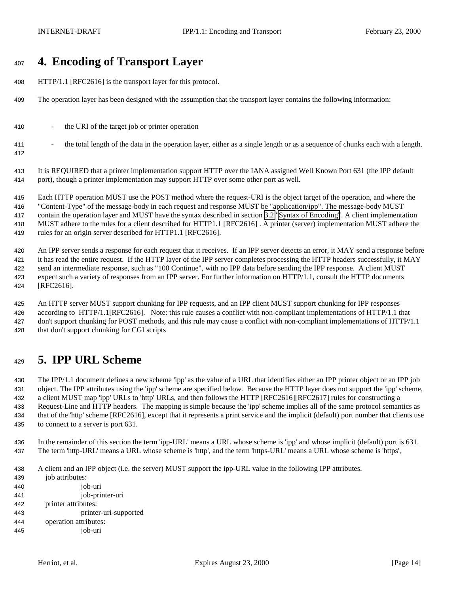# <span id="page-13-0"></span>**4. Encoding of Transport Layer**

- HTTP/1.1 [RFC2616] is the transport layer for this protocol.
- The operation layer has been designed with the assumption that the transport layer contains the following information:
- the URI of the target job or printer operation
- <sup>411</sup> the total length of the data in the operation layer, either as a single length or as a sequence of chunks each with a length.

 It is REQUIRED that a printer implementation support HTTP over the IANA assigned Well Known Port 631 (the IPP default port), though a printer implementation may support HTTP over some other port as well.

 Each HTTP operation MUST use the POST method where the request-URI is the object target of the operation, and where the "Content-Type" of the message-body in each request and response MUST be "application/ipp". The message-body MUST contain the operation layer and MUST have the syntax described in section [3.2 "Syntax of Encoding"](#page-6-0). A client implementation MUST adhere to the rules for a client described for HTTP1.1 [RFC2616] . A printer (server) implementation MUST adhere the rules for an origin server described for HTTP1.1 [RFC2616].

 An IPP server sends a response for each request that it receives. If an IPP server detects an error, it MAY send a response before it has read the entire request. If the HTTP layer of the IPP server completes processing the HTTP headers successfully, it MAY send an intermediate response, such as "100 Continue", with no IPP data before sending the IPP response. A client MUST expect such a variety of responses from an IPP server. For further information on HTTP/1.1, consult the HTTP documents [RFC2616].

 An HTTP server MUST support chunking for IPP requests, and an IPP client MUST support chunking for IPP responses according to HTTP/1.1[RFC2616]. Note: this rule causes a conflict with non-compliant implementations of HTTP/1.1 that don't support chunking for POST methods, and this rule may cause a conflict with non-compliant implementations of HTTP/1.1 that don't support chunking for CGI scripts

# **5. IPP URL Scheme**

 The IPP/1.1 document defines a new scheme 'ipp' as the value of a URL that identifies either an IPP printer object or an IPP job object. The IPP attributes using the 'ipp' scheme are specified below. Because the HTTP layer does not support the 'ipp' scheme, a client MUST map 'ipp' URLs to 'http' URLs, and then follows the HTTP [RFC2616][RFC2617] rules for constructing a Request-Line and HTTP headers. The mapping is simple because the 'ipp' scheme implies all of the same protocol semantics as that of the 'http' scheme [RFC2616], except that it represents a print service and the implicit (default) port number that clients use to connect to a server is port 631.

 In the remainder of this section the term 'ipp-URL' means a URL whose scheme is 'ipp' and whose implicit (default) port is 631. The term 'http-URL' means a URL whose scheme is 'http', and the term 'https-URL' means a URL whose scheme is 'https',

A client and an IPP object (i.e. the server) MUST support the ipp-URL value in the following IPP attributes.

- job attributes:
- job-uri job-printer-uri printer attributes: printer-uri-supported operation attributes:
- job-uri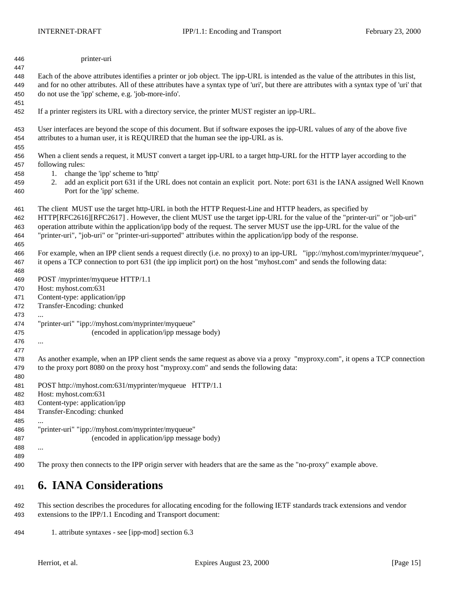<span id="page-14-0"></span>

| 446 | printer-uri |
|-----|-------------|
|     |             |

 Each of the above attributes identifies a printer or job object. The ipp-URL is intended as the value of the attributes in this list, and for no other attributes. All of these attributes have a syntax type of 'uri', but there are attributes with a syntax type of 'uri' that do not use the 'ipp' scheme, e.g. 'job-more-info'.

If a printer registers its URL with a directory service, the printer MUST register an ipp-URL.

 User interfaces are beyond the scope of this document. But if software exposes the ipp-URL values of any of the above five attributes to a human user, it is REQUIRED that the human see the ipp-URL as is.

 When a client sends a request, it MUST convert a target ipp-URL to a target http-URL for the HTTP layer according to the following rules:

- 1. change the 'ipp' scheme to 'http'
- 2. add an explicit port 631 if the URL does not contain an explicit port. Note: port 631 is the IANA assigned Well Known Port for the 'ipp' scheme.
- The client MUST use the target http-URL in both the HTTP Request-Line and HTTP headers, as specified by

 HTTP[RFC2616][RFC2617] . However, the client MUST use the target ipp-URL for the value of the "printer-uri" or "job-uri" operation attribute within the application/ipp body of the request. The server MUST use the ipp-URL for the value of the "printer-uri", "job-uri" or "printer-uri-supported" attributes within the application/ipp body of the response.

 For example, when an IPP client sends a request directly (i.e. no proxy) to an ipp-URL "ipp://myhost.com/myprinter/myqueue", it opens a TCP connection to port 631 (the ipp implicit port) on the host "myhost.com" and sends the following data:

POST /myprinter/myqueue HTTP/1.1

Host: myhost.com:631

Content-type: application/ipp

- Transfer-Encoding: chunked
- 
- "printer-uri" "ipp://myhost.com/myprinter/myqueue"
- (encoded in application/ipp message body)
- 

 As another example, when an IPP client sends the same request as above via a proxy "myproxy.com", it opens a TCP connection to the proxy port 8080 on the proxy host "myproxy.com" and sends the following data:

- POST http://myhost.com:631/myprinter/myqueue HTTP/1.1
- Host: myhost.com:631

Content-type: application/ipp

Transfer-Encoding: chunked

 "printer-uri" "ipp://myhost.com/myprinter/myqueue" (encoded in application/ipp message body)

 ... 

The proxy then connects to the IPP origin server with headers that are the same as the "no-proxy" example above.

## **6. IANA Considerations**

 This section describes the procedures for allocating encoding for the following IETF standards track extensions and vendor extensions to the IPP/1.1 Encoding and Transport document:

1. attribute syntaxes - see [ipp-mod] section 6.3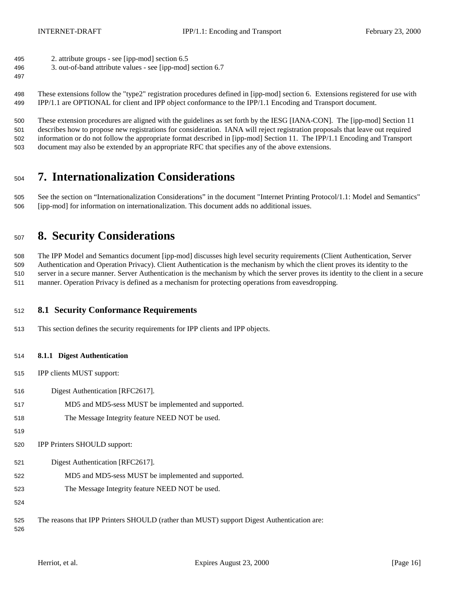- <span id="page-15-0"></span>2. attribute groups - see [ipp-mod] section 6.5
- 3. out-of-band attribute values see [ipp-mod] section 6.7
- 

 These extensions follow the "type2" registration procedures defined in [ipp-mod] section 6. Extensions registered for use with IPP/1.1 are OPTIONAL for client and IPP object conformance to the IPP/1.1 Encoding and Transport document.

 These extension procedures are aligned with the guidelines as set forth by the IESG [IANA-CON]. The [ipp-mod] Section 11 describes how to propose new registrations for consideration. IANA will reject registration proposals that leave out required information or do not follow the appropriate format described in [ipp-mod] Section 11. The IPP/1.1 Encoding and Transport document may also be extended by an appropriate RFC that specifies any of the above extensions.

# **7. Internationalization Considerations**

 See the section on "Internationalization Considerations" in the document "Internet Printing Protocol/1.1: Model and Semantics" [ipp-mod] for information on internationalization. This document adds no additional issues.

# **8. Security Considerations**

 The IPP Model and Semantics document [ipp-mod] discusses high level security requirements (Client Authentication, Server Authentication and Operation Privacy). Client Authentication is the mechanism by which the client proves its identity to the server in a secure manner. Server Authentication is the mechanism by which the server proves its identity to the client in a secure manner. Operation Privacy is defined as a mechanism for protecting operations from eavesdropping.

## **8.1 Security Conformance Requirements**

This section defines the security requirements for IPP clients and IPP objects.

## **8.1.1 Digest Authentication**

- IPP clients MUST support:
- Digest Authentication [RFC2617].
- MD5 and MD5-sess MUST be implemented and supported.
- The Message Integrity feature NEED NOT be used.
- 

IPP Printers SHOULD support:

- Digest Authentication [RFC2617].
- MD5 and MD5-sess MUST be implemented and supported.
- The Message Integrity feature NEED NOT be used.
- 

The reasons that IPP Printers SHOULD (rather than MUST) support Digest Authentication are: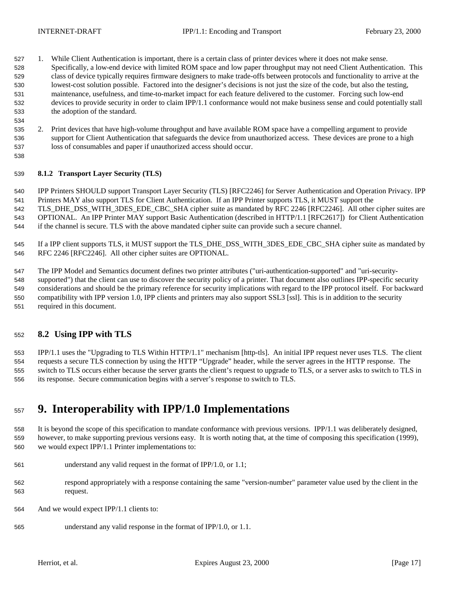- <span id="page-16-0"></span> 1. While Client Authentication is important, there is a certain class of printer devices where it does not make sense. Specifically, a low-end device with limited ROM space and low paper throughput may not need Client Authentication. This class of device typically requires firmware designers to make trade-offs between protocols and functionality to arrive at the lowest-cost solution possible. Factored into the designer's decisions is not just the size of the code, but also the testing, maintenance, usefulness, and time-to-market impact for each feature delivered to the customer. Forcing such low-end devices to provide security in order to claim IPP/1.1 conformance would not make business sense and could potentially stall the adoption of the standard.
- 2. Print devices that have high-volume throughput and have available ROM space have a compelling argument to provide support for Client Authentication that safeguards the device from unauthorized access. These devices are prone to a high loss of consumables and paper if unauthorized access should occur.

## **8.1.2 Transport Layer Security (TLS)**

 IPP Printers SHOULD support Transport Layer Security (TLS) [RFC2246] for Server Authentication and Operation Privacy. IPP Printers MAY also support TLS for Client Authentication. If an IPP Printer supports TLS, it MUST support the

 TLS\_DHE\_DSS\_WITH\_3DES\_EDE\_CBC\_SHA cipher suite as mandated by RFC 2246 [RFC2246]. All other cipher suites are OPTIONAL. An IPP Printer MAY support Basic Authentication (described in HTTP/1.1 [RFC2617]) for Client Authentication if the channel is secure. TLS with the above mandated cipher suite can provide such a secure channel.

 If a IPP client supports TLS, it MUST support the TLS\_DHE\_DSS\_WITH\_3DES\_EDE\_CBC\_SHA cipher suite as mandated by RFC 2246 [RFC2246]. All other cipher suites are OPTIONAL.

 The IPP Model and Semantics document defines two printer attributes ("uri-authentication-supported" and "uri-security- supported") that the client can use to discover the security policy of a printer. That document also outlines IPP-specific security considerations and should be the primary reference for security implications with regard to the IPP protocol itself. For backward compatibility with IPP version 1.0, IPP clients and printers may also support SSL3 [ssl]. This is in addition to the security required in this document.

## **8.2 Using IPP with TLS**

 IPP/1.1 uses the "Upgrading to TLS Within HTTP/1.1" mechanism [http-tls]. An initial IPP request never uses TLS. The client requests a secure TLS connection by using the HTTP "Upgrade" header, while the server agrees in the HTTP response. The switch to TLS occurs either because the server grants the client's request to upgrade to TLS, or a server asks to switch to TLS in its response. Secure communication begins with a server's response to switch to TLS.

## **9. Interoperability with IPP/1.0 Implementations**

 It is beyond the scope of this specification to mandate conformance with previous versions. IPP/1.1 was deliberately designed, however, to make supporting previous versions easy. It is worth noting that, at the time of composing this specification (1999), we would expect IPP/1.1 Printer implementations to:

- understand any valid request in the format of IPP/1.0, or 1.1;
- respond appropriately with a response containing the same "version-number" parameter value used by the client in the request.
- And we would expect IPP/1.1 clients to:
- understand any valid response in the format of IPP/1.0, or 1.1.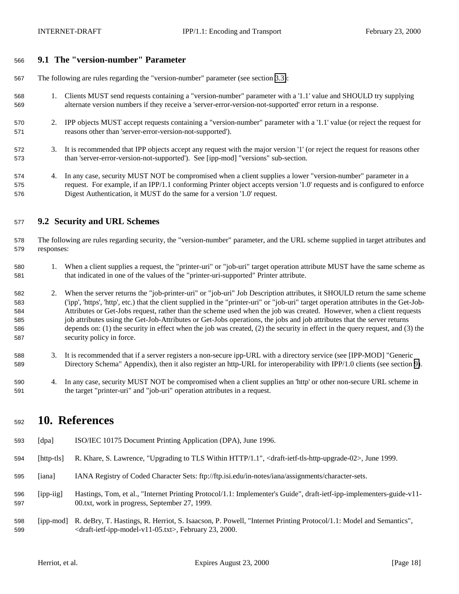## <span id="page-17-0"></span>**9.1 The "version-number" Parameter**

The following are rules regarding the "version-number" parameter (see section [3.3\)](#page-7-0):

- 1. Clients MUST send requests containing a "version-number" parameter with a '1.1' value and SHOULD try supplying alternate version numbers if they receive a 'server-error-version-not-supported' error return in a response.
- 2. IPP objects MUST accept requests containing a "version-number" parameter with a '1.1' value (or reject the request for reasons other than 'server-error-version-not-supported').
- 3. It is recommended that IPP objects accept any request with the major version '1' (or reject the request for reasons other than 'server-error-version-not-supported'). See [ipp-mod] "versions" sub-section.
- 4. In any case, security MUST NOT be compromised when a client supplies a lower "version-number" parameter in a request. For example, if an IPP/1.1 conforming Printer object accepts version '1.0' requests and is configured to enforce Digest Authentication, it MUST do the same for a version '1.0' request.

## **9.2 Security and URL Schemes**

 The following are rules regarding security, the "version-number" parameter, and the URL scheme supplied in target attributes and responses:

- 1. When a client supplies a request, the "printer-uri" or "job-uri" target operation attribute MUST have the same scheme as that indicated in one of the values of the "printer-uri-supported" Printer attribute.
- 2. When the server returns the "job-printer-uri" or "job-uri" Job Description attributes, it SHOULD return the same scheme ('ipp', 'https', 'http', etc.) that the client supplied in the "printer-uri" or "job-uri" target operation attributes in the Get-Job- Attributes or Get-Jobs request, rather than the scheme used when the job was created. However, when a client requests job attributes using the Get-Job-Attributes or Get-Jobs operations, the jobs and job attributes that the server returns depends on: (1) the security in effect when the job was created, (2) the security in effect in the query request, and (3) the security policy in force.
- 3. It is recommended that if a server registers a non-secure ipp-URL with a directory service (see [IPP-MOD] "Generic Directory Schema" Appendix), then it also register an http-URL for interoperability with IPP/1.0 clients (see section [9\)](#page-16-0).
- 4. In any case, security MUST NOT be compromised when a client supplies an 'http' or other non-secure URL scheme in the target "printer-uri" and "job-uri" operation attributes in a request.

## **10. References**

- [dpa] ISO/IEC 10175 Document Printing Application (DPA), June 1996.
- [http-tls] R. Khare, S. Lawrence, "Upgrading to TLS Within HTTP/1.1", <draft-ietf-tls-http-upgrade-02>, June 1999.
- [iana] IANA Registry of Coded Character Sets: ftp://ftp.isi.edu/in-notes/iana/assignments/character-sets.
- [ipp-iig] Hastings, Tom, et al., "Internet Printing Protocol/1.1: Implementer's Guide", draft-ietf-ipp-implementers-guide-v11- 00.txt, work in progress, September 27, 1999.
- [ipp-mod] R. deBry, T. Hastings, R. Herriot, S. Isaacson, P. Powell, "Internet Printing Protocol/1.1: Model and Semantics", <draft-ietf-ipp-model-v11-05.txt>, February 23, 2000.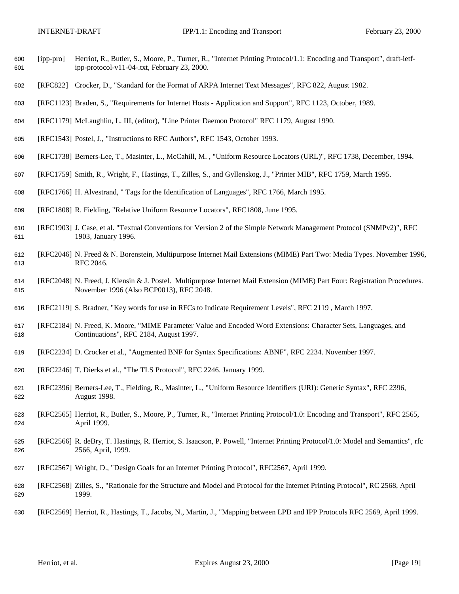- [ipp-pro] Herriot, R., Butler, S., Moore, P., Turner, R., "Internet Printing Protocol/1.1: Encoding and Transport", draft-ietf-ipp-protocol-v11-04-.txt, February 23, 2000.
- [RFC822] Crocker, D., "Standard for the Format of ARPA Internet Text Messages", RFC 822, August 1982.
- [RFC1123] Braden, S., "Requirements for Internet Hosts Application and Support", RFC 1123, October, 1989.
- [RFC1179] McLaughlin, L. III, (editor), "Line Printer Daemon Protocol" RFC 1179, August 1990.
- [RFC1543] Postel, J., "Instructions to RFC Authors", RFC 1543, October 1993.
- [RFC1738] Berners-Lee, T., Masinter, L., McCahill, M. , "Uniform Resource Locators (URL)", RFC 1738, December, 1994.
- [RFC1759] Smith, R., Wright, F., Hastings, T., Zilles, S., and Gyllenskog, J., "Printer MIB", RFC 1759, March 1995.
- [RFC1766] H. Alvestrand, " Tags for the Identification of Languages", RFC 1766, March 1995.
- [RFC1808] R. Fielding, "Relative Uniform Resource Locators", RFC1808, June 1995.
- [RFC1903] J. Case, et al. "Textual Conventions for Version 2 of the Simple Network Management Protocol (SNMPv2)", RFC 1903, January 1996.
- [RFC2046] N. Freed & N. Borenstein, Multipurpose Internet Mail Extensions (MIME) Part Two: Media Types. November 1996, RFC 2046.
- [RFC2048] N. Freed, J. Klensin & J. Postel. Multipurpose Internet Mail Extension (MIME) Part Four: Registration Procedures. November 1996 (Also BCP0013), RFC 2048.
- [RFC2119] S. Bradner, "Key words for use in RFCs to Indicate Requirement Levels", RFC 2119 , March 1997.
- [RFC2184] N. Freed, K. Moore, "MIME Parameter Value and Encoded Word Extensions: Character Sets, Languages, and Continuations", RFC 2184, August 1997.
- [RFC2234] D. Crocker et al., "Augmented BNF for Syntax Specifications: ABNF", RFC 2234. November 1997.
- [RFC2246] T. Dierks et al., "The TLS Protocol", RFC 2246. January 1999.
- [RFC2396] Berners-Lee, T., Fielding, R., Masinter, L., "Uniform Resource Identifiers (URI): Generic Syntax", RFC 2396, August 1998.
- [RFC2565] Herriot, R., Butler, S., Moore, P., Turner, R., "Internet Printing Protocol/1.0: Encoding and Transport", RFC 2565, April 1999.
- [RFC2566] R. deBry, T. Hastings, R. Herriot, S. Isaacson, P. Powell, "Internet Printing Protocol/1.0: Model and Semantics", rfc 2566, April, 1999.
- [RFC2567] Wright, D., "Design Goals for an Internet Printing Protocol", RFC2567, April 1999.
- [RFC2568] Zilles, S., "Rationale for the Structure and Model and Protocol for the Internet Printing Protocol", RC 2568, April 1999.
- [RFC2569] Herriot, R., Hastings, T., Jacobs, N., Martin, J., "Mapping between LPD and IPP Protocols RFC 2569, April 1999.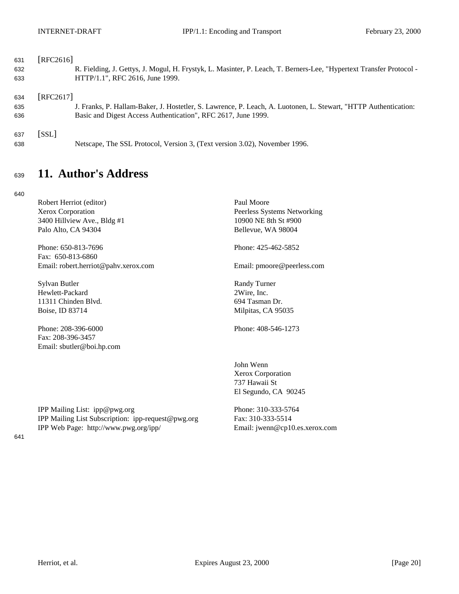<span id="page-19-0"></span>

| 631 | [RFC2616] |                                                                                                                     |
|-----|-----------|---------------------------------------------------------------------------------------------------------------------|
| 632 |           | R. Fielding, J. Gettys, J. Mogul, H. Frystyk, L. Masinter, P. Leach, T. Berners-Lee, "Hypertext Transfer Protocol - |
| 633 |           | HTTP/1.1", RFC 2616, June 1999.                                                                                     |
| 634 | [REC2617] |                                                                                                                     |
| 635 |           | J. Franks, P. Hallam-Baker, J. Hostetler, S. Lawrence, P. Leach, A. Luotonen, L. Stewart, "HTTP Authentication:     |
| 636 |           | Basic and Digest Access Authentication", RFC 2617, June 1999.                                                       |
| 637 | [SSL]     |                                                                                                                     |
| 638 |           | Netscape, The SSL Protocol, Version 3, (Text version 3.02), November 1996.                                          |

# <sup>639</sup> **11. Author's Address**

640

| Robert Herriot (editor)                            | Paul Moore                     |
|----------------------------------------------------|--------------------------------|
| Xerox Corporation                                  | Peerless Systems Networking    |
| 3400 Hillview Ave., Bldg #1                        | 10900 NE 8th St #900           |
| Palo Alto, CA 94304                                | Bellevue, WA 98004             |
| Phone: 650-813-7696                                | Phone: 425-462-5852            |
| Fax: 650-813-6860                                  |                                |
| Email: robert.herriot@pahv.xerox.com               | Email: pmoore@peerless.com     |
| Sylvan Butler                                      | <b>Randy Turner</b>            |
| Hewlett-Packard                                    | 2Wire, Inc.                    |
| 11311 Chinden Blvd.                                | 694 Tasman Dr.                 |
| Boise, ID 83714                                    | Milpitas, CA 95035             |
| Phone: 208-396-6000                                | Phone: 408-546-1273            |
| Fax: 208-396-3457                                  |                                |
| Email: sbutler@boi.hp.com                          |                                |
|                                                    | John Wenn                      |
|                                                    | Xerox Corporation              |
|                                                    | 737 Hawaii St                  |
|                                                    | El Segundo, CA 90245           |
| IPP Mailing List: ipp@pwg.org                      | Phone: 310-333-5764            |
| IPP Mailing List Subscription: ipp-request@pwg.org | Fax: 310-333-5514              |
| IPP Web Page: http://www.pwg.org/ipp/              | Email: jwenn@cp10.es.xerox.com |
|                                                    |                                |
|                                                    |                                |
|                                                    |                                |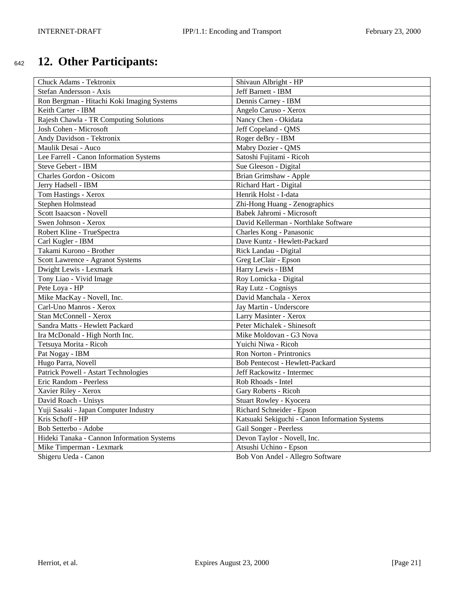# <span id="page-20-0"></span><sup>642</sup> **12. Other Participants:**

| Chuck Adams - Tektronix                    | Shivaun Albright - HP                          |
|--------------------------------------------|------------------------------------------------|
| Stefan Andersson - Axis                    | Jeff Barnett - IBM                             |
| Ron Bergman - Hitachi Koki Imaging Systems | Dennis Carney - IBM                            |
| Keith Carter - IBM                         | Angelo Caruso - Xerox                          |
| Rajesh Chawla - TR Computing Solutions     | Nancy Chen - Okidata                           |
| Josh Cohen - Microsoft                     | Jeff Copeland - QMS                            |
| Andy Davidson - Tektronix                  | Roger deBry - IBM                              |
| Maulik Desai - Auco                        | Mabry Dozier - QMS                             |
| Lee Farrell - Canon Information Systems    | Satoshi Fujitami - Ricoh                       |
| Steve Gebert - IBM                         | Sue Gleeson - Digital                          |
| Charles Gordon - Osicom                    | Brian Grimshaw - Apple                         |
| Jerry Hadsell - IBM                        | Richard Hart - Digital                         |
| Tom Hastings - Xerox                       | Henrik Holst - I-data                          |
| Stephen Holmstead                          | Zhi-Hong Huang - Zenographics                  |
| Scott Isaacson - Novell                    | Babek Jahromi - Microsoft                      |
| Swen Johnson - Xerox                       | David Kellerman - Northlake Software           |
| Robert Kline - TrueSpectra                 | Charles Kong - Panasonic                       |
| Carl Kugler - IBM                          | Dave Kuntz - Hewlett-Packard                   |
| Takami Kurono - Brother                    | Rick Landau - Digital                          |
| Scott Lawrence - Agranot Systems           | Greg LeClair - Epson                           |
| Dwight Lewis - Lexmark                     | Harry Lewis - IBM                              |
| Tony Liao - Vivid Image                    | Roy Lomicka - Digital                          |
| Pete Loya - HP                             | Ray Lutz - Cognisys                            |
| Mike MacKay - Novell, Inc.                 | David Manchala - Xerox                         |
| Carl-Uno Manros - Xerox                    | Jay Martin - Underscore                        |
| Stan McConnell - Xerox                     | Larry Masinter - Xerox                         |
| Sandra Matts - Hewlett Packard             | Peter Michalek - Shinesoft                     |
| Ira McDonald - High North Inc.             | Mike Moldovan - G3 Nova                        |
| Tetsuya Morita - Ricoh                     | Yuichi Niwa - Ricoh                            |
| Pat Nogay - IBM                            | Ron Norton - Printronics                       |
| Hugo Parra, Novell                         | Bob Pentecost - Hewlett-Packard                |
| Patrick Powell - Astart Technologies       | Jeff Rackowitz - Intermec                      |
| Eric Random - Peerless                     | Rob Rhoads - Intel                             |
| Xavier Riley - Xerox                       | Gary Roberts - Ricoh                           |
| David Roach - Unisys                       | Stuart Rowley - Kyocera                        |
| Yuji Sasaki - Japan Computer Industry      | Richard Schneider - Epson                      |
| Kris Schoff - HP                           | Katsuaki Sekiguchi - Canon Information Systems |
| Bob Setterbo - Adobe                       | Gail Songer - Peerless                         |
| Hideki Tanaka - Cannon Information Systems | Devon Taylor - Novell, Inc.                    |
| Mike Timperman - Lexmark                   | Atsushi Uchino - Epson                         |
| Shigeru Ueda - Canon                       | Bob Von Andel - Allegro Software               |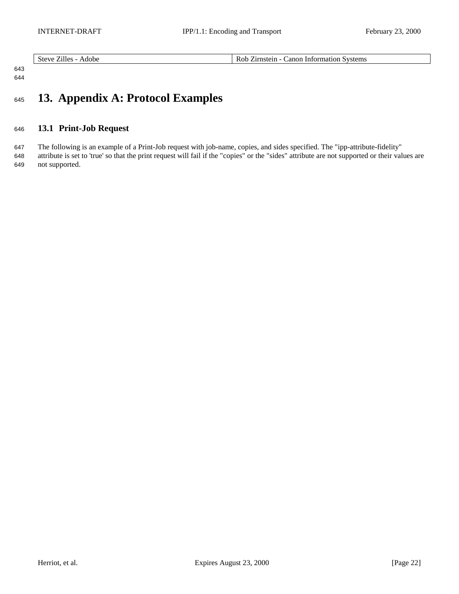<span id="page-21-0"></span>

|  | ---<br>steve<br>Adobe<br>Hes<br>. | Systems<br>∠irnstein<br>Information<br>anon<br>$\lambda$ OP<br>____<br>$\begin{array}{cccccccccccccc} \multicolumn{4}{c}{} & \multicolumn{4}{c}{} & \multicolumn{4}{c}{} & \multicolumn{4}{c}{} & \multicolumn{4}{c}{} & \multicolumn{4}{c}{} & \multicolumn{4}{c}{} & \multicolumn{4}{c}{} & \multicolumn{4}{c}{} & \multicolumn{4}{c}{} & \multicolumn{4}{c}{} & \multicolumn{4}{c}{} & \multicolumn{4}{c}{} & \multicolumn{4}{c}{} & \multicolumn{4}{c}{} & \multicolumn{4}{c}{} & \multicolumn{4}{c}{} & \multicolumn{4}{c}{} & \multicolumn{4}{c}{} & \$ |
|--|-----------------------------------|---------------------------------------------------------------------------------------------------------------------------------------------------------------------------------------------------------------------------------------------------------------------------------------------------------------------------------------------------------------------------------------------------------------------------------------------------------------------------------------------------------------------------------------------------------------|
|--|-----------------------------------|---------------------------------------------------------------------------------------------------------------------------------------------------------------------------------------------------------------------------------------------------------------------------------------------------------------------------------------------------------------------------------------------------------------------------------------------------------------------------------------------------------------------------------------------------------------|

## 

## 

# **13. Appendix A: Protocol Examples**

## **13.1 Print-Job Request**

 The following is an example of a Print-Job request with job-name, copies, and sides specified. The "ipp-attribute-fidelity" attribute is set to 'true' so that the print request will fail if the "copies" or the "sides" attribute are not supported or their values are not supported.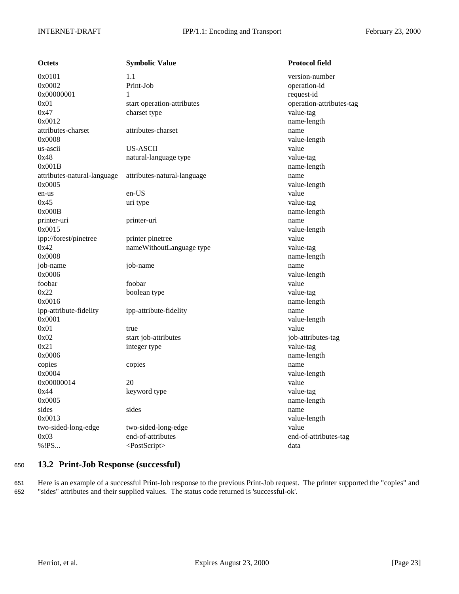<span id="page-22-0"></span>

| <b>Octets</b>               | <b>Symbolic Value</b>       | <b>Protocol field</b>    |
|-----------------------------|-----------------------------|--------------------------|
| 0x0101                      | 1.1                         | version-number           |
| 0x0002                      | Print-Job                   | operation-id             |
| 0x00000001                  | 1                           | request-id               |
| 0x01                        | start operation-attributes  | operation-attributes-tag |
| 0x47                        | charset type                | value-tag                |
| 0x0012                      |                             | name-length              |
| attributes-charset          | attributes-charset          | name                     |
| 0x0008                      |                             | value-length             |
| us-ascii                    | <b>US-ASCII</b>             | value                    |
| 0x48                        | natural-language type       | value-tag                |
| 0x001B                      |                             | name-length              |
| attributes-natural-language | attributes-natural-language | name                     |
| 0x0005                      |                             | value-length             |
| en-us                       | en-US                       | value                    |
| 0x45                        | uri type                    | value-tag                |
| 0x000B                      |                             | name-length              |
| printer-uri                 | printer-uri                 | name                     |
| 0x0015                      |                             | value-length             |
| ipp://forest/pinetree       | printer pinetree            | value                    |
| 0x42                        | nameWithoutLanguage type    | value-tag                |
| 0x0008                      |                             | name-length              |
| job-name                    | job-name                    | name                     |
| 0x0006                      |                             | value-length             |
| foobar                      | foobar                      | value                    |
| 0x22                        | boolean type                | value-tag                |
| 0x0016                      |                             | name-length              |
| ipp-attribute-fidelity      | ipp-attribute-fidelity      | name                     |
| 0x0001                      |                             | value-length             |
| 0x01                        | true                        | value                    |
| 0x02                        | start job-attributes        | job-attributes-tag       |
| 0x21                        | integer type                | value-tag                |
| 0x0006                      |                             | name-length              |
| copies                      | copies                      | name                     |
| 0x0004                      |                             | value-length             |
| 0x00000014                  | 20                          | value                    |
| 0x44                        | keyword type                | value-tag                |
| 0x0005                      |                             | name-length              |
| sides                       | sides                       | name                     |
| 0x0013                      |                             | value-length             |
| two-sided-long-edge         | two-sided-long-edge         | value                    |
| 0x03                        | end-of-attributes           | end-of-attributes-tag    |
| %!PS                        | <postscript></postscript>   | data                     |
|                             |                             |                          |

## <sup>650</sup> **13.2 Print-Job Response (successful)**

651 Here is an example of a successful Print-Job response to the previous Print-Job request. The printer supported the "copies" and 652 "sides" attributes and their supplied values. The status code returned is 'successful-ok'.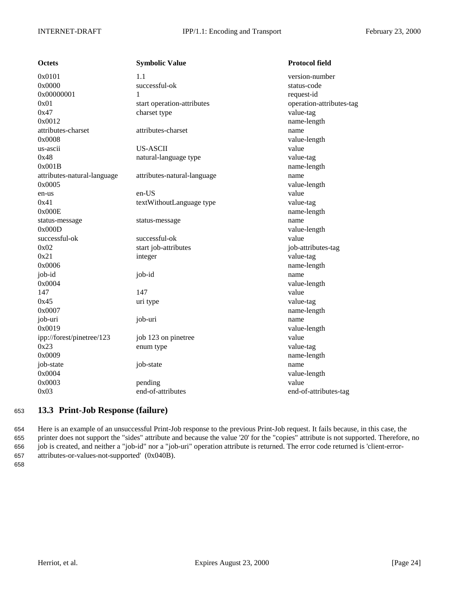<span id="page-23-0"></span>

| <b>Octets</b>               | <b>Symbolic Value</b>       | <b>Protocol field</b>    |
|-----------------------------|-----------------------------|--------------------------|
| 0x0101                      | 1.1                         | version-number           |
| 0x0000                      | successful-ok               | status-code              |
| 0x00000001                  | 1                           | request-id               |
| 0x01                        | start operation-attributes  | operation-attributes-tag |
| 0x47                        | charset type                | value-tag                |
| 0x0012                      |                             | name-length              |
| attributes-charset          | attributes-charset          | name                     |
| 0x0008                      |                             | value-length             |
| us-ascii                    | <b>US-ASCII</b>             | value                    |
| 0x48                        | natural-language type       | value-tag                |
| 0x001B                      |                             | name-length              |
| attributes-natural-language | attributes-natural-language | name                     |
| 0x0005                      |                             | value-length             |
| en-us                       | en-US                       | value                    |
| 0x41                        | textWithoutLanguage type    | value-tag                |
| 0x000E                      |                             | name-length              |
| status-message              | status-message              | name                     |
| 0x000D                      |                             | value-length             |
| successful-ok               | successful-ok               | value                    |
| 0x02                        | start job-attributes        | job-attributes-tag       |
| 0x21                        | integer                     | value-tag                |
| 0x0006                      |                             | name-length              |
| job-id                      | job-id                      | name                     |
| 0x0004                      |                             | value-length             |
| 147                         | 147                         | value                    |
| 0x45                        | uri type                    | value-tag                |
| 0x0007                      |                             | name-length              |
| job-uri                     | job-uri                     | name                     |
| 0x0019                      |                             | value-length             |
| ipp://forest/pinetree/123   | job 123 on pinetree         | value                    |
| 0x23                        | enum type                   | value-tag                |
| 0x0009                      |                             | name-length              |
| job-state                   | job-state                   | name                     |
| 0x0004                      |                             | value-length             |
| 0x0003                      | pending                     | value                    |
| 0x03                        | end-of-attributes           | end-of-attributes-tag    |
|                             |                             |                          |

## <sup>653</sup> **13.3 Print-Job Response (failure)**

 Here is an example of an unsuccessful Print-Job response to the previous Print-Job request. It fails because, in this case, the printer does not support the "sides" attribute and because the value '20' for the "copies" attribute is not supported. Therefore, no job is created, and neither a "job-id" nor a "job-uri" operation attribute is returned. The error code returned is 'client-error-attributes-or-values-not-supported' (0x040B).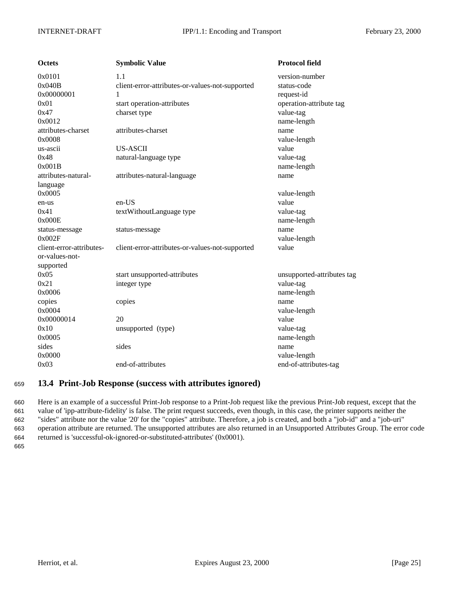<span id="page-24-0"></span>

| <b>Octets</b>            | <b>Symbolic Value</b>                           | <b>Protocol field</b>      |
|--------------------------|-------------------------------------------------|----------------------------|
| 0x0101                   | 1.1                                             | version-number             |
| 0x040B                   | client-error-attributes-or-values-not-supported | status-code                |
| 0x00000001               |                                                 | request-id                 |
| 0x01                     | start operation-attributes                      | operation-attribute tag    |
| 0x47                     | charset type                                    | value-tag                  |
| 0x0012                   |                                                 | name-length                |
| attributes-charset       | attributes-charset                              | name                       |
| 0x0008                   |                                                 | value-length               |
| us-ascii                 | <b>US-ASCII</b>                                 | value                      |
| 0x48                     | natural-language type                           | value-tag                  |
| 0x001B                   |                                                 | name-length                |
| attributes-natural-      | attributes-natural-language                     | name                       |
| language                 |                                                 |                            |
| 0x0005                   |                                                 | value-length               |
| en-us                    | en-US                                           | value                      |
| 0x41                     | textWithoutLanguage type                        | value-tag                  |
| 0x000E                   |                                                 | name-length                |
| status-message           | status-message                                  | name                       |
| 0x002F                   |                                                 | value-length               |
| client-error-attributes- | client-error-attributes-or-values-not-supported | value                      |
| or-values-not-           |                                                 |                            |
| supported                |                                                 |                            |
| 0x05                     | start unsupported-attributes                    | unsupported-attributes tag |
| 0x21                     | integer type                                    | value-tag                  |
| 0x0006                   |                                                 | name-length                |
| copies                   | copies                                          | name                       |
| 0x0004                   |                                                 | value-length               |
| 0x00000014               | 20                                              | value                      |
| 0x10                     | unsupported (type)                              | value-tag                  |
| 0x0005                   |                                                 | name-length                |
| sides                    | sides                                           | name                       |
| 0x0000                   |                                                 | value-length               |
| 0x03                     | end-of-attributes                               | end-of-attributes-tag      |

## <sup>659</sup> **13.4 Print-Job Response (success with attributes ignored)**

 Here is an example of a successful Print-Job response to a Print-Job request like the previous Print-Job request, except that the value of 'ipp-attribute-fidelity' is false. The print request succeeds, even though, in this case, the printer supports neither the "sides" attribute nor the value '20' for the "copies" attribute. Therefore, a job is created, and both a "job-id" and a "job-uri" operation attribute are returned. The unsupported attributes are also returned in an Unsupported Attributes Group. The error code returned is 'successful-ok-ignored-or-substituted-attributes' (0x0001).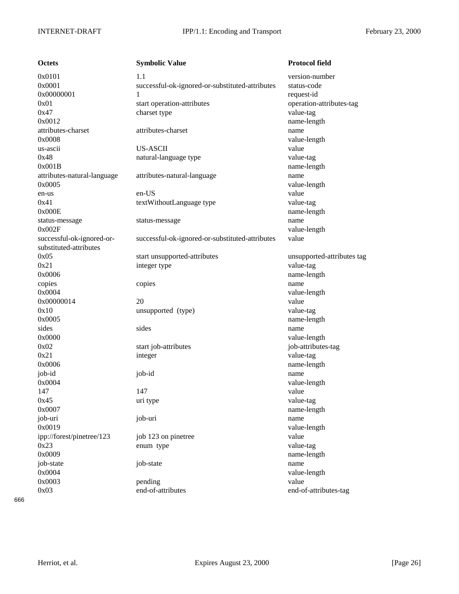| Octets                      |
|-----------------------------|
| 0x0101                      |
| 0x0001                      |
| 0x00000001                  |
| 0x01                        |
| 0x47                        |
| 0x0012                      |
| attributes-charset          |
| 0x0008                      |
| us-ascii                    |
| 0x48                        |
| 0x001B                      |
| attributes-natural-language |
| 0x0005                      |
| en-us                       |
| 0x41                        |
| 0x000E                      |
| status-message              |
| 0x002F                      |
| successful-ok-ignored-or-   |
| substituted-attributes      |
| 0x05                        |
| 0x21                        |
| 0x0006                      |
| copies                      |
| 0x0004                      |
| 0x00000014                  |
| 0x10                        |
| 0x0005                      |
| sides                       |
| 0x0000                      |
| 0x02                        |
| 0x21                        |
| 0x0006<br>job-id            |
| 0x0004                      |
| 147                         |
| 0x45                        |
| 0x0007                      |
| job-uri                     |
| 0x0019                      |
| ipp://forest/pinetree/123   |
| 0x23                        |
| 0x0009                      |
| job-state                   |
| 0x0004                      |
| 0x0003                      |
|                             |

**October Symbolic Value Protocol field** 1.1 version-number successful-ok-ignored-or-substituted-attributes status-code 1 request-id start operation-attributes operation-attributes-tag charset type value-tag name-length attributes-charset attributes-charset name value-length us-ascii US-ASCII value natural-language type value-tag name-length attributes-natural-language attributes-natural-language name value-length en-us en-US value textWithoutLanguage type value-tag name-length status-message status-message name value-length successful-ok-ignored-or-substituted-attributes value start unsupported-attributes unsupported-attributes tag integer type value-tag name-length copies copies copies name value-length 0x00000014 20 value unsupported (type) value-tag name-length sides sides name value-length start job-attributes is in the start job-attributes-tag 0x21 integer value-tag name-length job-id job-id name value-length 147 value 0x45 uri type value-tag name-length job-uri job-uri name value-length job 123 on pinetree value enum type value-tag name-length job-state job-state name value-length 0x0003 pending pending value 0x03 end-of-attributes end-of-attributes-tag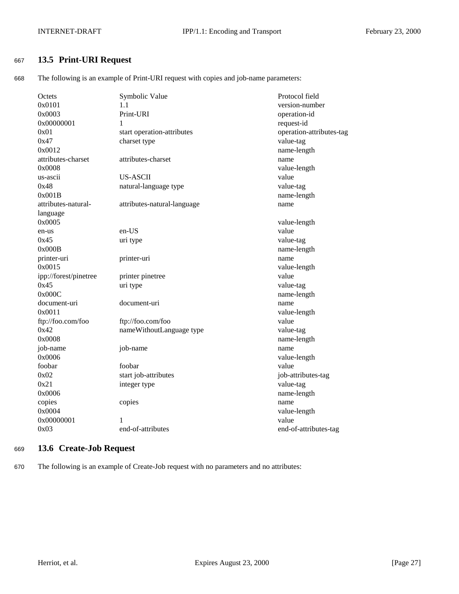## <span id="page-26-0"></span><sup>667</sup> **13.5 Print-URI Request**

668 The following is an example of Print-URI request with copies and job-name parameters:

| Octets                | Symbolic Value              | Protocol field           |
|-----------------------|-----------------------------|--------------------------|
| 0x0101                | 1.1                         | version-number           |
| 0x0003                | Print-URI                   | operation-id             |
| 0x00000001            | 1                           | request-id               |
| 0x01                  | start operation-attributes  | operation-attributes-tag |
| 0x47                  | charset type                | value-tag                |
| 0x0012                |                             | name-length              |
| attributes-charset    | attributes-charset          | name                     |
| 0x0008                |                             | value-length             |
| us-ascii              | <b>US-ASCII</b>             | value                    |
| 0x48                  | natural-language type       | value-tag                |
| 0x001B                |                             | name-length              |
| attributes-natural-   | attributes-natural-language | name                     |
| language              |                             |                          |
| 0x0005                |                             | value-length             |
| en-us                 | en-US                       | value                    |
| 0x45                  | uri type                    | value-tag                |
| 0x000B                |                             | name-length              |
| printer-uri           | printer-uri                 | name                     |
| 0x0015                |                             | value-length             |
| ipp://forest/pinetree | printer pinetree            | value                    |
| 0x45                  | uri type                    | value-tag                |
| 0x000C                |                             | name-length              |
| document-uri          | document-uri                | name                     |
| 0x0011                |                             | value-length             |
| ftp://foo.com/foo     | ftp://foo.com/foo           | value                    |
| 0x42                  | nameWithoutLanguage type    | value-tag                |
| 0x0008                |                             | name-length              |
| job-name              | job-name                    | name                     |
| 0x0006                |                             | value-length             |
| foobar                | foobar                      | value                    |
| 0x02                  | start job-attributes        | job-attributes-tag       |
| 0x21                  | integer type                | value-tag                |
| 0x0006                |                             | name-length              |
| copies                | copies                      | name                     |
| 0x0004                |                             | value-length             |
| 0x00000001            | 1                           | value                    |
| 0x03                  | end-of-attributes           | end-of-attributes-tag    |
|                       |                             |                          |

## <sup>669</sup> **13.6 Create-Job Request**

670 The following is an example of Create-Job request with no parameters and no attributes: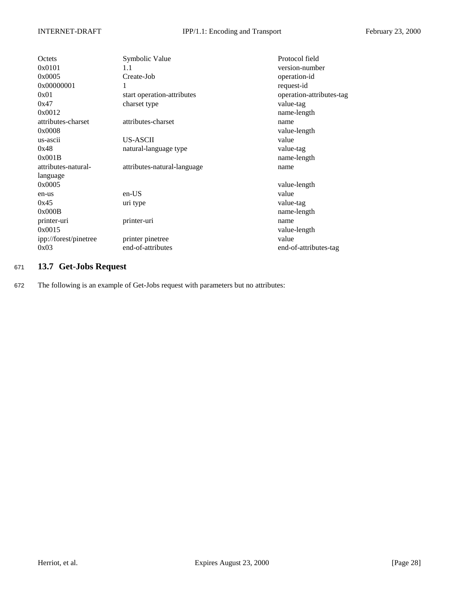<span id="page-27-0"></span>

| <b>Octets</b><br>0x0101<br>0x0005<br>0x00000001 | Symbolic Value<br>1.1<br>Create-Job<br>1   | Protocol field<br>version-number<br>operation-id<br>request-id |
|-------------------------------------------------|--------------------------------------------|----------------------------------------------------------------|
| 0x01<br>0x47<br>0x0012                          | start operation-attributes<br>charset type | operation-attributes-tag<br>value-tag<br>name-length           |
| attributes-charset<br>0x0008                    | attributes-charset                         | name<br>value-length                                           |
| us-ascii                                        | US-ASCII                                   | value                                                          |
| 0x48<br>0x001B                                  | natural-language type                      | value-tag<br>name-length                                       |
| attributes-natural-<br>language                 | attributes-natural-language                | name                                                           |
| 0x0005                                          |                                            | value-length                                                   |
| en-us                                           | en-US                                      | value                                                          |
| 0x45<br>0x000B                                  | uri type                                   | value-tag<br>name-length                                       |
| printer-uri<br>0x0015                           | printer-uri                                | name<br>value-length                                           |
| ipp://forest/pinetree<br>0x03                   | printer pinetree<br>end-of-attributes      | value<br>end-of-attributes-tag                                 |

## <sup>671</sup> **13.7 Get-Jobs Request**

672 The following is an example of Get-Jobs request with parameters but no attributes: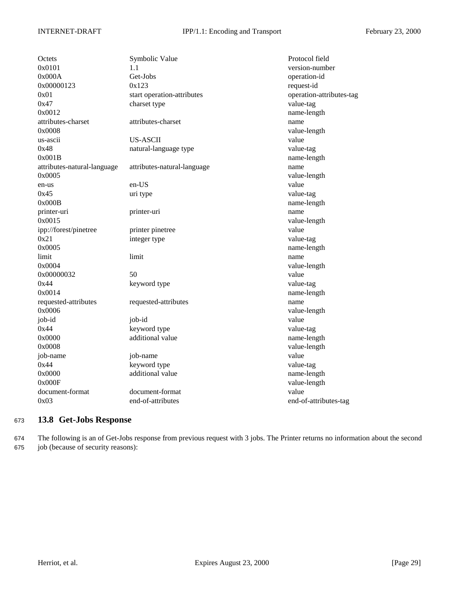<span id="page-28-0"></span>

| Octets<br>0x0101<br>0x000A<br>0x00000123<br>0x01<br>0x47 | Symbolic Value<br>1.1<br>Get-Jobs<br>0x123<br>start operation-attributes<br>charset type | Protocol field<br>version-number<br>operation-id<br>request-id<br>operation-attributes-tag<br>value-tag |
|----------------------------------------------------------|------------------------------------------------------------------------------------------|---------------------------------------------------------------------------------------------------------|
| 0x0012<br>attributes-charset                             | attributes-charset                                                                       | name-length<br>name                                                                                     |
| 0x0008                                                   |                                                                                          | value-length                                                                                            |
| us-ascii                                                 | US-ASCII                                                                                 | value                                                                                                   |
| 0x48                                                     | natural-language type                                                                    | value-tag                                                                                               |
| 0x001B                                                   |                                                                                          | name-length                                                                                             |
| attributes-natural-language                              | attributes-natural-language                                                              | name                                                                                                    |
| 0x0005                                                   |                                                                                          | value-length                                                                                            |
| en-us                                                    | en-US                                                                                    | value                                                                                                   |
| 0x45                                                     | uri type                                                                                 | value-tag                                                                                               |
| 0x000B                                                   |                                                                                          | name-length                                                                                             |
| printer-uri                                              | printer-uri                                                                              | name                                                                                                    |
| 0x0015                                                   |                                                                                          | value-length                                                                                            |
| ipp://forest/pinetree                                    | printer pinetree                                                                         | value                                                                                                   |
| 0x21                                                     | integer type                                                                             | value-tag                                                                                               |
| 0x0005                                                   |                                                                                          | name-length                                                                                             |
| limit                                                    | limit                                                                                    | name                                                                                                    |
| 0x0004                                                   |                                                                                          | value-length                                                                                            |
| 0x00000032                                               | 50                                                                                       | value                                                                                                   |
| 0x44                                                     | keyword type                                                                             | value-tag                                                                                               |
| 0x0014                                                   |                                                                                          | name-length                                                                                             |
| requested-attributes                                     | requested-attributes                                                                     | name                                                                                                    |
| 0x0006                                                   |                                                                                          | value-length                                                                                            |
| job-id                                                   | job-id                                                                                   | value                                                                                                   |
| 0x44                                                     | keyword type                                                                             | value-tag                                                                                               |
| 0x0000                                                   | additional value                                                                         | name-length                                                                                             |
| 0x0008                                                   |                                                                                          | value-length                                                                                            |
| job-name<br>0x44                                         | job-name<br>keyword type                                                                 | value                                                                                                   |
| 0x0000                                                   | additional value                                                                         | value-tag                                                                                               |
| 0x000F                                                   |                                                                                          | name-length<br>value-length                                                                             |
| document-format                                          | document-format                                                                          | value                                                                                                   |
| 0x03                                                     | end-of-attributes                                                                        | end-of-attributes-tag                                                                                   |
|                                                          |                                                                                          |                                                                                                         |

## <sup>673</sup> **13.8 Get-Jobs Response**

674 The following is an of Get-Jobs response from previous request with 3 jobs. The Printer returns no information about the second 675 job (because of security reasons):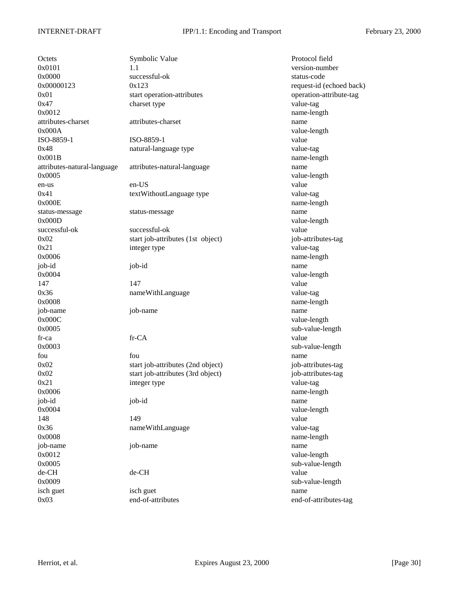0x03 end-of-attributes end-of-attributes-tag

Octets Symbolic Value Protocol field  $0 \times 0101$  version-number 0x0000 successful-ok status-code status-code  $0x00000123$   $0x123$  request-id (echoed back) 0x01 start operation-attributes operation-attribute-tag 0x47 charset type value-tag 0x0012 name-length attributes-charset attributes-charset name 0x000A value-length ISO-8859-1 ISO-8859-1 value 0x48 natural-language type value-tag 0x001B name-length attributes-natural-language attributes-natural-language name 0x0005 value-length en-us en-US value 0x41 textWithoutLanguage type value-tag 0x000E name-length status-message status-message name 0x000D value-length successful-ok successful-ok value 0x02 start job-attributes (1st object) job-attributes-tag 0x21 integer type value-tag 0x0006 name-length job-id job-id name 0x0004 value-length 147 value 0x36 nameWithLanguage value-tag 0x0008 name-length job-name job-name name 0x000C value-length 0x0005 sub-value-length fr-ca fr-CA value 0x0003 sub-value-length fou **fou** fou **fou have the set of the set of the set of the set of the set of the set of the set of the set of the set of the set of the set of the set of the set of the set of the set of the set of the set of the set o** 0x02 start job-attributes (2nd object) job-attributes-tag 0x02 start job-attributes (3rd object) job-attributes-tag 0x21 integer type value-tag 0x0006 name-length job-id job-id name 0x0004 value-length 148 **149** value 0x36 nameWithLanguage value-tag 0x0008 name-length job-name job-name name 0x0012 value-length 0x0005 sub-value-length de-CH de-CH value 0x0009 sub-value-length isch guet isch guet name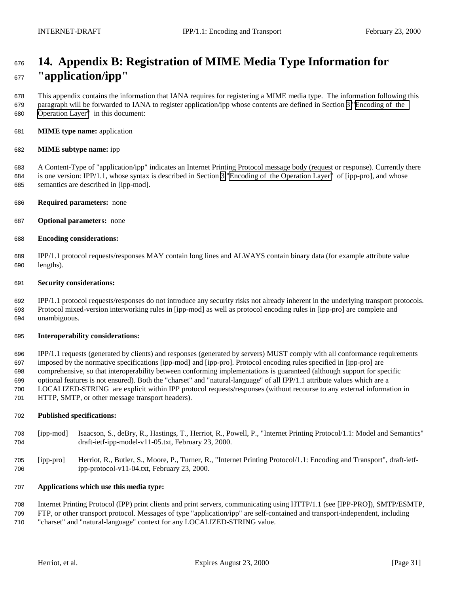# <span id="page-30-0"></span> **14. Appendix B: Registration of MIME Media Type Information for "application/ipp"**

 This appendix contains the information that IANA requires for registering a MIME media type. The information following this paragraph will be forwarded to IANA to register application/ipp whose contents are defined in Section [3](#page-3-0) "[Encoding of the](#page-3-0) [Operation Layer"](#page-3-0) in this document:

**MIME type name:** application

## **MIME subtype name:** ipp

 A Content-Type of "application/ipp" indicates an Internet Printing Protocol message body (request or response). Currently there is one version: IPP/1.1, whose syntax is described in Section [3 "Encoding of the Operation Layer"](#page-3-0) of [ipp-pro], and whose semantics are described in [ipp-mod].

- **Required parameters:** none
- **Optional parameters:** none
- **Encoding considerations:**

 IPP/1.1 protocol requests/responses MAY contain long lines and ALWAYS contain binary data (for example attribute value lengths).

## **Security considerations:**

 IPP/1.1 protocol requests/responses do not introduce any security risks not already inherent in the underlying transport protocols. Protocol mixed-version interworking rules in [ipp-mod] as well as protocol encoding rules in [ipp-pro] are complete and unambiguous.

### **Interoperability considerations:**

 IPP/1.1 requests (generated by clients) and responses (generated by servers) MUST comply with all conformance requirements imposed by the normative specifications [ipp-mod] and [ipp-pro]. Protocol encoding rules specified in [ipp-pro] are comprehensive, so that interoperability between conforming implementations is guaranteed (although support for specific optional features is not ensured). Both the "charset" and "natural-language" of all IPP/1.1 attribute values which are a LOCALIZED-STRING are explicit within IPP protocol requests/responses (without recourse to any external information in HTTP, SMTP, or other message transport headers).

### **Published specifications:**

- [ipp-mod] Isaacson, S., deBry, R., Hastings, T., Herriot, R., Powell, P., "Internet Printing Protocol/1.1: Model and Semantics" draft-ietf-ipp-model-v11-05.txt, February 23, 2000.
- [ipp-pro] Herriot, R., Butler, S., Moore, P., Turner, R., "Internet Printing Protocol/1.1: Encoding and Transport", draft-ietf-ipp-protocol-v11-04.txt, February 23, 2000.

## **Applications which use this media type:**

Internet Printing Protocol (IPP) print clients and print servers, communicating using HTTP/1.1 (see [IPP-PRO]), SMTP/ESMTP,

 FTP, or other transport protocol. Messages of type "application/ipp" are self-contained and transport-independent, including "charset" and "natural-language" context for any LOCALIZED-STRING value.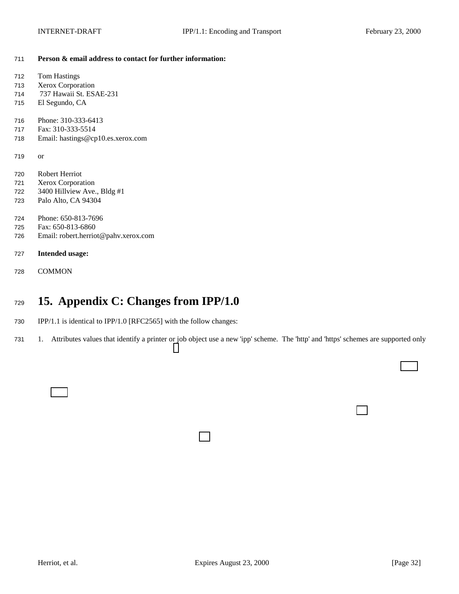<span id="page-31-0"></span>**Person & email address to contact for further information:**

| 712 | <b>Tom Hastings</b>                  |
|-----|--------------------------------------|
| 713 | Xerox Corporation                    |
| 714 | 737 Hawaii St. ESAE-231              |
| 715 | El Segundo, CA                       |
| 716 | Phone: 310-333-6413                  |
| 717 | Fax: 310-333-5514                    |
| 718 | Email: hastings@cp10.es.xerox.com    |
| 719 | <sub>or</sub>                        |
| 720 | Robert Herriot                       |
| 721 | Xerox Corporation                    |
| 722 | 3400 Hillview Ave., Bldg #1          |
| 723 | Palo Alto, CA 94304                  |
| 724 | Phone: 650-813-7696                  |
| 725 | Fax: 650-813-6860                    |
| 726 | Email: robert.herriot@pahv.xerox.com |
| 727 | <b>Intended usage:</b>               |
| 728 | <b>COMMON</b>                        |
|     |                                      |

# **15. Appendix C: Changes from IPP/1.0**

- IPP/1.1 is identical to IPP/1.0 [RFC2565] with the follow changes:
- 1. Attributes values that identify a printer or job object use a new 'ipp' scheme. The 'http' and 'https' schemes are supported only